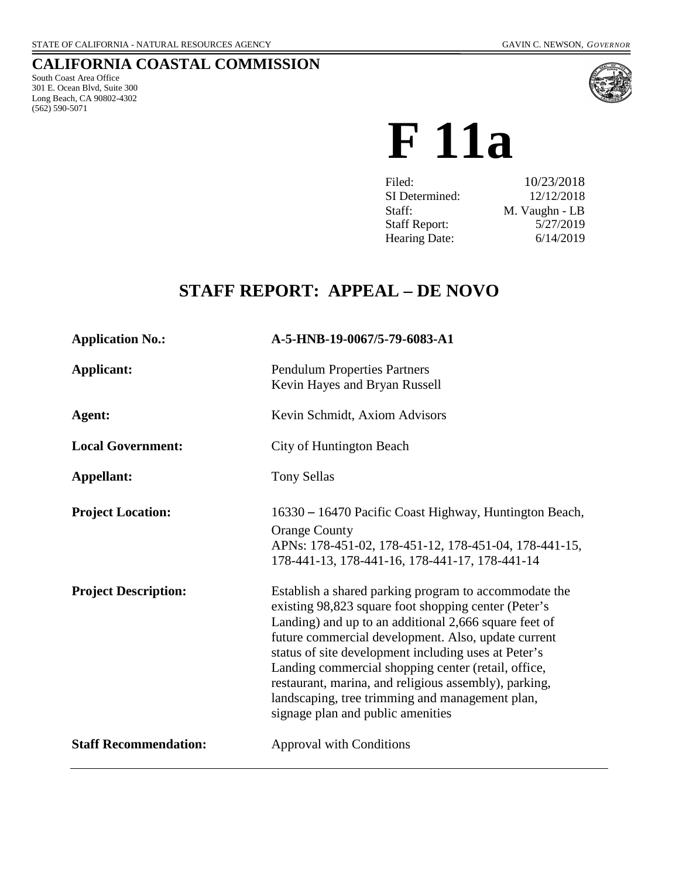# **CALIFORNIA COASTAL COMMISSION**

South Coast Area Office 301 E. Ocean Blvd, Suite 300 Long Beach, CA 90802-4302 (562) 590-5071



# **F 11a**

| 10/23/2018     |
|----------------|
| 12/12/2018     |
| M. Vaughn - LB |
| 5/27/2019      |
| 6/14/2019      |
|                |

# **STAFF REPORT: APPEAL – DE NOVO**

| <b>Application No.:</b>      | A-5-HNB-19-0067/5-79-6083-A1                                                                                                                                                                                                                                                                                                                                                                                                                                                                  |
|------------------------------|-----------------------------------------------------------------------------------------------------------------------------------------------------------------------------------------------------------------------------------------------------------------------------------------------------------------------------------------------------------------------------------------------------------------------------------------------------------------------------------------------|
| Applicant:                   | <b>Pendulum Properties Partners</b><br>Kevin Hayes and Bryan Russell                                                                                                                                                                                                                                                                                                                                                                                                                          |
| Agent:                       | Kevin Schmidt, Axiom Advisors                                                                                                                                                                                                                                                                                                                                                                                                                                                                 |
| <b>Local Government:</b>     | <b>City of Huntington Beach</b>                                                                                                                                                                                                                                                                                                                                                                                                                                                               |
| Appellant:                   | <b>Tony Sellas</b>                                                                                                                                                                                                                                                                                                                                                                                                                                                                            |
| <b>Project Location:</b>     | 16330 – 16470 Pacific Coast Highway, Huntington Beach,<br><b>Orange County</b><br>APNs: 178-451-02, 178-451-12, 178-451-04, 178-441-15,<br>178-441-13, 178-441-16, 178-441-17, 178-441-14                                                                                                                                                                                                                                                                                                     |
| <b>Project Description:</b>  | Establish a shared parking program to accommodate the<br>existing 98,823 square foot shopping center (Peter's<br>Landing) and up to an additional 2,666 square feet of<br>future commercial development. Also, update current<br>status of site development including uses at Peter's<br>Landing commercial shopping center (retail, office,<br>restaurant, marina, and religious assembly), parking,<br>landscaping, tree trimming and management plan,<br>signage plan and public amenities |
| <b>Staff Recommendation:</b> | <b>Approval with Conditions</b>                                                                                                                                                                                                                                                                                                                                                                                                                                                               |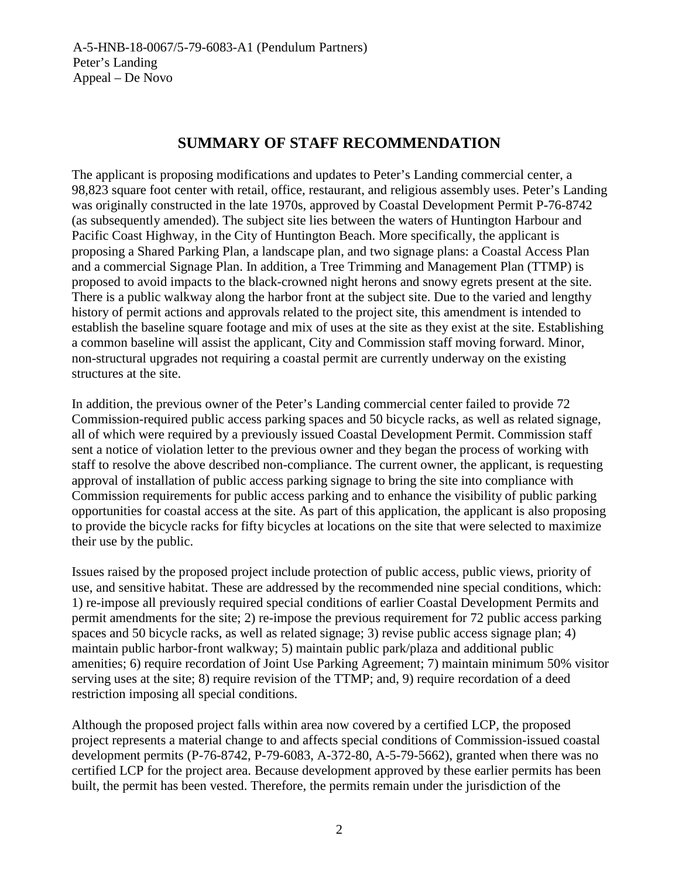# **SUMMARY OF STAFF RECOMMENDATION**

The applicant is proposing modifications and updates to Peter's Landing commercial center, a 98,823 square foot center with retail, office, restaurant, and religious assembly uses. Peter's Landing was originally constructed in the late 1970s, approved by Coastal Development Permit P-76-8742 (as subsequently amended). The subject site lies between the waters of Huntington Harbour and Pacific Coast Highway, in the City of Huntington Beach. More specifically, the applicant is proposing a Shared Parking Plan, a landscape plan, and two signage plans: a Coastal Access Plan and a commercial Signage Plan. In addition, a Tree Trimming and Management Plan (TTMP) is proposed to avoid impacts to the black-crowned night herons and snowy egrets present at the site. There is a public walkway along the harbor front at the subject site. Due to the varied and lengthy history of permit actions and approvals related to the project site, this amendment is intended to establish the baseline square footage and mix of uses at the site as they exist at the site. Establishing a common baseline will assist the applicant, City and Commission staff moving forward. Minor, non-structural upgrades not requiring a coastal permit are currently underway on the existing structures at the site.

In addition, the previous owner of the Peter's Landing commercial center failed to provide 72 Commission-required public access parking spaces and 50 bicycle racks, as well as related signage, all of which were required by a previously issued Coastal Development Permit. Commission staff sent a notice of violation letter to the previous owner and they began the process of working with staff to resolve the above described non-compliance. The current owner, the applicant, is requesting approval of installation of public access parking signage to bring the site into compliance with Commission requirements for public access parking and to enhance the visibility of public parking opportunities for coastal access at the site. As part of this application, the applicant is also proposing to provide the bicycle racks for fifty bicycles at locations on the site that were selected to maximize their use by the public.

Issues raised by the proposed project include protection of public access, public views, priority of use, and sensitive habitat. These are addressed by the recommended nine special conditions, which: 1) re-impose all previously required special conditions of earlier Coastal Development Permits and permit amendments for the site; 2) re-impose the previous requirement for 72 public access parking spaces and 50 bicycle racks, as well as related signage; 3) revise public access signage plan; 4) maintain public harbor-front walkway; 5) maintain public park/plaza and additional public amenities; 6) require recordation of Joint Use Parking Agreement; 7) maintain minimum 50% visitor serving uses at the site; 8) require revision of the TTMP; and, 9) require recordation of a deed restriction imposing all special conditions.

Although the proposed project falls within area now covered by a certified LCP, the proposed project represents a material change to and affects special conditions of Commission-issued coastal development permits (P-76-8742, P-79-6083, A-372-80, A-5-79-5662), granted when there was no certified LCP for the project area. Because development approved by these earlier permits has been built, the permit has been vested. Therefore, the permits remain under the jurisdiction of the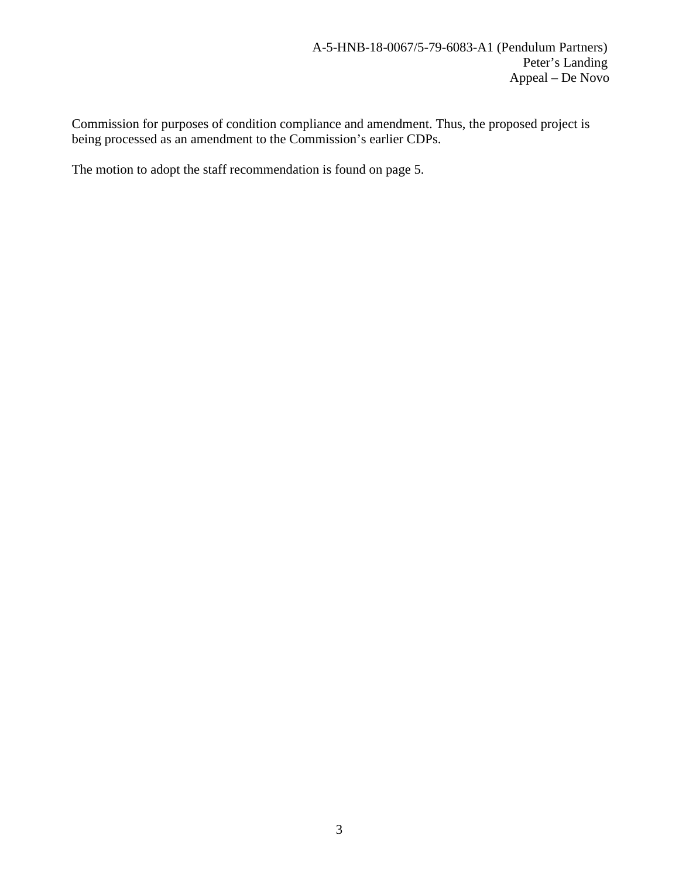Commission for purposes of condition compliance and amendment. Thus, the proposed project is being processed as an amendment to the Commission's earlier CDPs.

The motion to adopt the staff recommendation is found on page 5.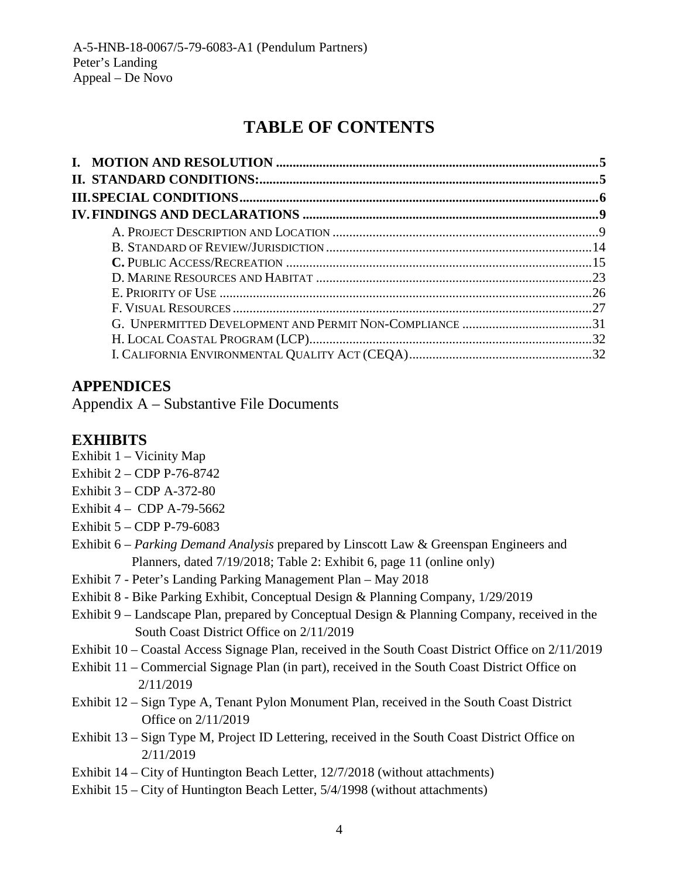# **TABLE OF CONTENTS**

# **APPENDICES**

Appendix A – Substantive File Documents

# **EXHIBITS**

- [Exhibit 1](https://documents.coastal.ca.gov/reports/2017/8/w12a/w12a-8-2017-exhibits.pdf) Vicinity Map
- [Exhibit 2](https://documents.coastal.ca.gov/reports/2017/8/w12a/w12a-8-2017-exhibits.pdf) CDP P-76-8742
- [Exhibit 3](https://documents.coastal.ca.gov/reports/2017/8/w12a/w12a-8-2017-exhibits.pdf) CDP A-372-80
- Exhibit  $4 -$  CDP A-79-5662
- Exhibit 5 CDP P-79-6083
- Exhibit 6 *Parking Demand Analysis* prepared by Linscott Law & Greenspan Engineers and Planners, dated 7/19/2018; Table 2: Exhibit 6, page 11 (online only)
- Exhibit 7 Peter's Landing Parking Management Plan May 2018
- Exhibit 8 Bike Parking Exhibit, Conceptual Design & Planning Company, 1/29/2019
- Exhibit 9 Landscape Plan, prepared by Conceptual Design & Planning Company, received in the South Coast District Office on 2/11/2019
- Exhibit 10 Coastal Access Signage Plan, received in the South Coast District Office on 2/11/2019
- Exhibit 11 Commercial Signage Plan (in part), received in the South Coast District Office on 2/11/2019
- Exhibit 12 Sign Type A, Tenant Pylon Monument Plan, received in the South Coast District Office on 2/11/2019
- Exhibit 13 Sign Type M, Project ID Lettering, received in the South Coast District Office on 2/11/2019
- Exhibit 14 City of Huntington Beach Letter, 12/7/2018 (without attachments)
- Exhibit 15 City of Huntington Beach Letter, 5/4/1998 (without attachments)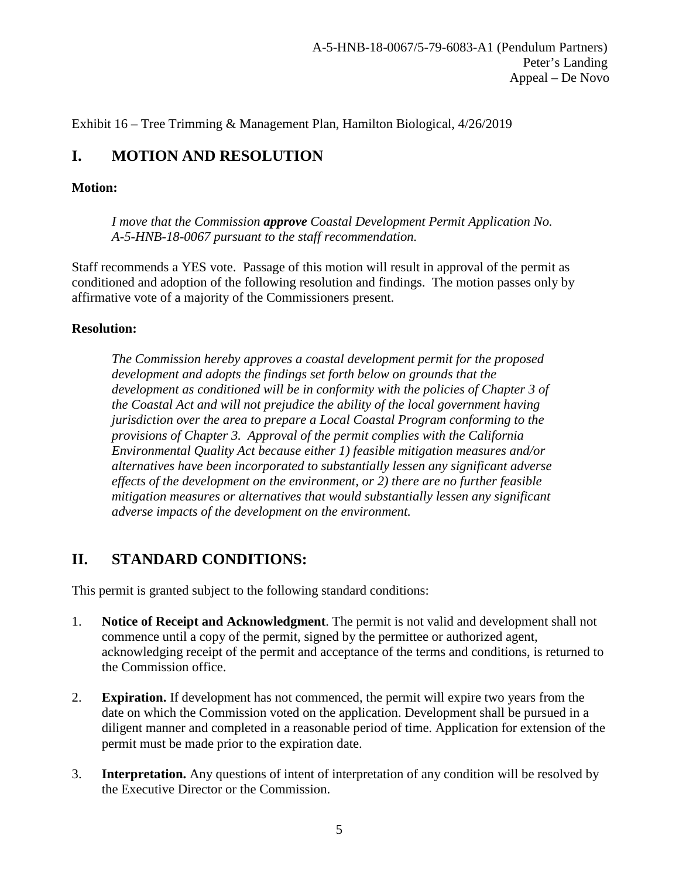Exhibit 16 – Tree Trimming & Management Plan, Hamilton Biological, 4/26/2019

# <span id="page-4-0"></span>**I. MOTION AND RESOLUTION**

# **Motion:**

*I move that the Commission approve Coastal Development Permit Application No. A-5-HNB-18-0067 pursuant to the staff recommendation.*

Staff recommends a YES vote. Passage of this motion will result in approval of the permit as conditioned and adoption of the following resolution and findings. The motion passes only by affirmative vote of a majority of the Commissioners present.

# **Resolution:**

*The Commission hereby approves a coastal development permit for the proposed development and adopts the findings set forth below on grounds that the development as conditioned will be in conformity with the policies of Chapter 3 of the Coastal Act and will not prejudice the ability of the local government having jurisdiction over the area to prepare a Local Coastal Program conforming to the provisions of Chapter 3. Approval of the permit complies with the California Environmental Quality Act because either 1) feasible mitigation measures and/or alternatives have been incorporated to substantially lessen any significant adverse effects of the development on the environment, or 2) there are no further feasible mitigation measures or alternatives that would substantially lessen any significant adverse impacts of the development on the environment.*

# <span id="page-4-1"></span>**II. STANDARD CONDITIONS:**

This permit is granted subject to the following standard conditions:

- 1. **Notice of Receipt and Acknowledgment**. The permit is not valid and development shall not commence until a copy of the permit, signed by the permittee or authorized agent, acknowledging receipt of the permit and acceptance of the terms and conditions, is returned to the Commission office.
- 2. **Expiration.** If development has not commenced, the permit will expire two years from the date on which the Commission voted on the application. Development shall be pursued in a diligent manner and completed in a reasonable period of time. Application for extension of the permit must be made prior to the expiration date.
- 3. **Interpretation.** Any questions of intent of interpretation of any condition will be resolved by the Executive Director or the Commission.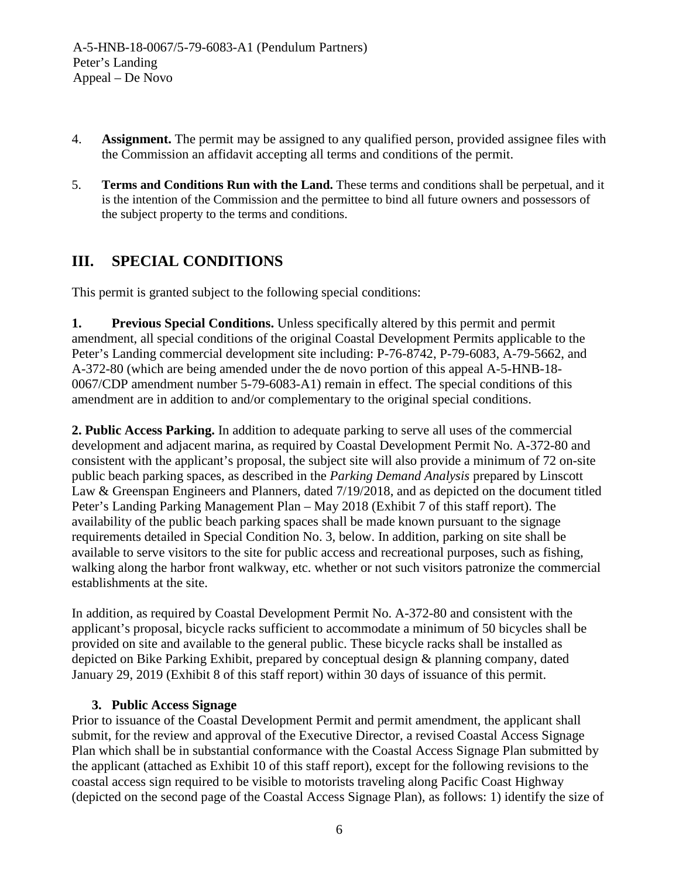- 4. **Assignment.** The permit may be assigned to any qualified person, provided assignee files with the Commission an affidavit accepting all terms and conditions of the permit.
- 5. **Terms and Conditions Run with the Land.** These terms and conditions shall be perpetual, and it is the intention of the Commission and the permittee to bind all future owners and possessors of the subject property to the terms and conditions.

# <span id="page-5-0"></span>**III. SPECIAL CONDITIONS**

This permit is granted subject to the following special conditions:

**1. Previous Special Conditions.** Unless specifically altered by this permit and permit amendment, all special conditions of the original Coastal Development Permits applicable to the Peter's Landing commercial development site including: P-76-8742, P-79-6083, A-79-5662, and A-372-80 (which are being amended under the de novo portion of this appeal A-5-HNB-18- 0067/CDP amendment number 5-79-6083-A1) remain in effect. The special conditions of this amendment are in addition to and/or complementary to the original special conditions.

**2. Public Access Parking.** In addition to adequate parking to serve all uses of the commercial development and adjacent marina, as required by Coastal Development Permit No. A-372-80 and consistent with the applicant's proposal, the subject site will also provide a minimum of 72 on-site public beach parking spaces, as described in the *Parking Demand Analysis* prepared by Linscott Law & Greenspan Engineers and Planners, dated 7/19/2018, and as depicted on the document titled Peter's Landing Parking Management Plan – May 2018 (Exhibit 7 of this staff report). The availability of the public beach parking spaces shall be made known pursuant to the signage requirements detailed in Special Condition No. 3, below. In addition, parking on site shall be available to serve visitors to the site for public access and recreational purposes, such as fishing, walking along the harbor front walkway, etc. whether or not such visitors patronize the commercial establishments at the site.

In addition, as required by Coastal Development Permit No. A-372-80 and consistent with the applicant's proposal, bicycle racks sufficient to accommodate a minimum of 50 bicycles shall be provided on site and available to the general public. These bicycle racks shall be installed as depicted on Bike Parking Exhibit, prepared by conceptual design & planning company, dated January 29, 2019 (Exhibit 8 of this staff report) within 30 days of issuance of this permit.

# **3. Public Access Signage**

Prior to issuance of the Coastal Development Permit and permit amendment, the applicant shall submit, for the review and approval of the Executive Director, a revised Coastal Access Signage Plan which shall be in substantial conformance with the Coastal Access Signage Plan submitted by the applicant (attached as Exhibit 10 of this staff report), except for the following revisions to the coastal access sign required to be visible to motorists traveling along Pacific Coast Highway (depicted on the second page of the Coastal Access Signage Plan), as follows: 1) identify the size of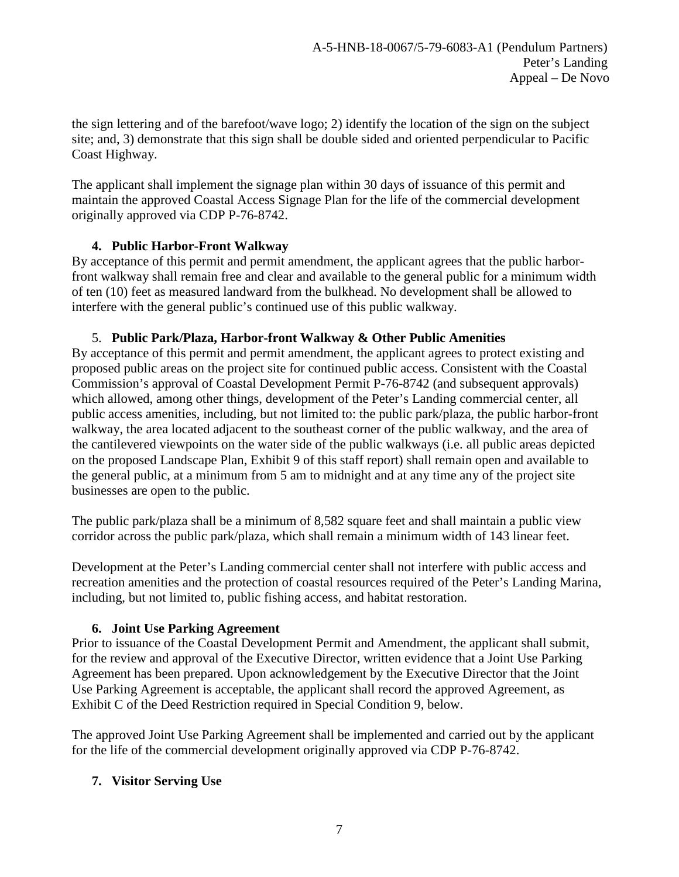the sign lettering and of the barefoot/wave logo; 2) identify the location of the sign on the subject site; and, 3) demonstrate that this sign shall be double sided and oriented perpendicular to Pacific Coast Highway.

The applicant shall implement the signage plan within 30 days of issuance of this permit and maintain the approved Coastal Access Signage Plan for the life of the commercial development originally approved via CDP P-76-8742.

# **4. Public Harbor-Front Walkway**

By acceptance of this permit and permit amendment, the applicant agrees that the public harborfront walkway shall remain free and clear and available to the general public for a minimum width of ten (10) feet as measured landward from the bulkhead. No development shall be allowed to interfere with the general public's continued use of this public walkway.

# 5. **Public Park/Plaza, Harbor-front Walkway & Other Public Amenities**

By acceptance of this permit and permit amendment, the applicant agrees to protect existing and proposed public areas on the project site for continued public access. Consistent with the Coastal Commission's approval of Coastal Development Permit P-76-8742 (and subsequent approvals) which allowed, among other things, development of the Peter's Landing commercial center, all public access amenities, including, but not limited to: the public park/plaza, the public harbor-front walkway, the area located adjacent to the southeast corner of the public walkway, and the area of the cantilevered viewpoints on the water side of the public walkways (i.e. all public areas depicted on the proposed Landscape Plan, Exhibit 9 of this staff report) shall remain open and available to the general public, at a minimum from 5 am to midnight and at any time any of the project site businesses are open to the public.

The public park/plaza shall be a minimum of 8,582 square feet and shall maintain a public view corridor across the public park/plaza, which shall remain a minimum width of 143 linear feet.

Development at the Peter's Landing commercial center shall not interfere with public access and recreation amenities and the protection of coastal resources required of the Peter's Landing Marina, including, but not limited to, public fishing access, and habitat restoration.

# **6. Joint Use Parking Agreement**

Prior to issuance of the Coastal Development Permit and Amendment, the applicant shall submit, for the review and approval of the Executive Director, written evidence that a Joint Use Parking Agreement has been prepared. Upon acknowledgement by the Executive Director that the Joint Use Parking Agreement is acceptable, the applicant shall record the approved Agreement, as Exhibit C of the Deed Restriction required in Special Condition 9, below.

The approved Joint Use Parking Agreement shall be implemented and carried out by the applicant for the life of the commercial development originally approved via CDP P-76-8742.

# **7. Visitor Serving Use**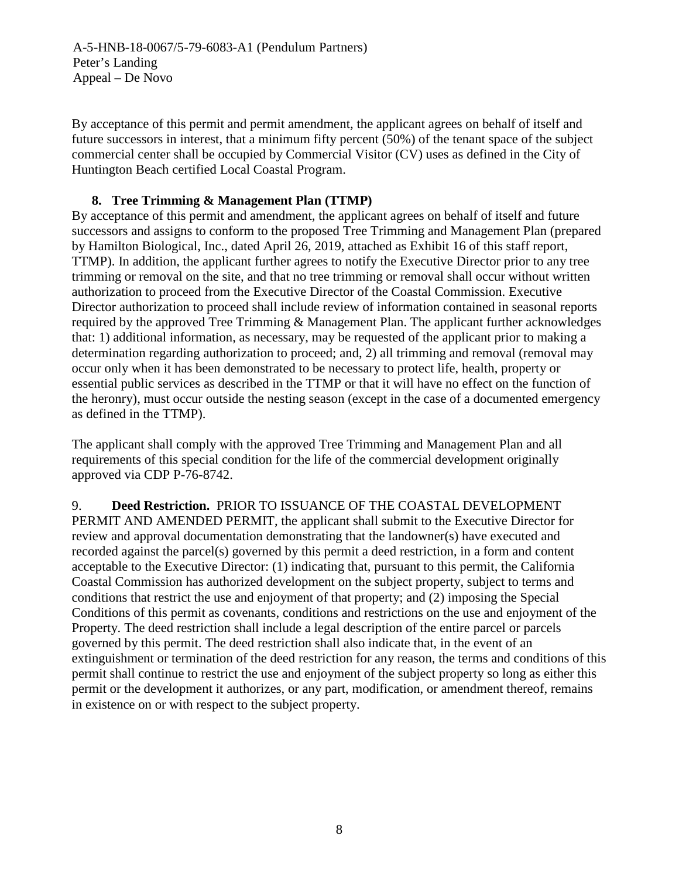A-5-HNB-18-0067/5-79-6083-A1 (Pendulum Partners) Peter's Landing Appeal – De Novo

By acceptance of this permit and permit amendment, the applicant agrees on behalf of itself and future successors in interest, that a minimum fifty percent (50%) of the tenant space of the subject commercial center shall be occupied by Commercial Visitor (CV) uses as defined in the City of Huntington Beach certified Local Coastal Program.

# **8. Tree Trimming & Management Plan (TTMP)**

By acceptance of this permit and amendment, the applicant agrees on behalf of itself and future successors and assigns to conform to the proposed Tree Trimming and Management Plan (prepared by Hamilton Biological, Inc., dated April 26, 2019, attached as Exhibit 16 of this staff report, TTMP). In addition, the applicant further agrees to notify the Executive Director prior to any tree trimming or removal on the site, and that no tree trimming or removal shall occur without written authorization to proceed from the Executive Director of the Coastal Commission. Executive Director authorization to proceed shall include review of information contained in seasonal reports required by the approved Tree Trimming & Management Plan. The applicant further acknowledges that: 1) additional information, as necessary, may be requested of the applicant prior to making a determination regarding authorization to proceed; and, 2) all trimming and removal (removal may occur only when it has been demonstrated to be necessary to protect life, health, property or essential public services as described in the TTMP or that it will have no effect on the function of the heronry), must occur outside the nesting season (except in the case of a documented emergency as defined in the TTMP).

The applicant shall comply with the approved Tree Trimming and Management Plan and all requirements of this special condition for the life of the commercial development originally approved via CDP P-76-8742.

9. **Deed Restriction.** PRIOR TO ISSUANCE OF THE COASTAL DEVELOPMENT PERMIT AND AMENDED PERMIT, the applicant shall submit to the Executive Director for review and approval documentation demonstrating that the landowner(s) have executed and recorded against the parcel(s) governed by this permit a deed restriction, in a form and content acceptable to the Executive Director: (1) indicating that, pursuant to this permit, the California Coastal Commission has authorized development on the subject property, subject to terms and conditions that restrict the use and enjoyment of that property; and (2) imposing the Special Conditions of this permit as covenants, conditions and restrictions on the use and enjoyment of the Property. The deed restriction shall include a legal description of the entire parcel or parcels governed by this permit. The deed restriction shall also indicate that, in the event of an extinguishment or termination of the deed restriction for any reason, the terms and conditions of this permit shall continue to restrict the use and enjoyment of the subject property so long as either this permit or the development it authorizes, or any part, modification, or amendment thereof, remains in existence on or with respect to the subject property.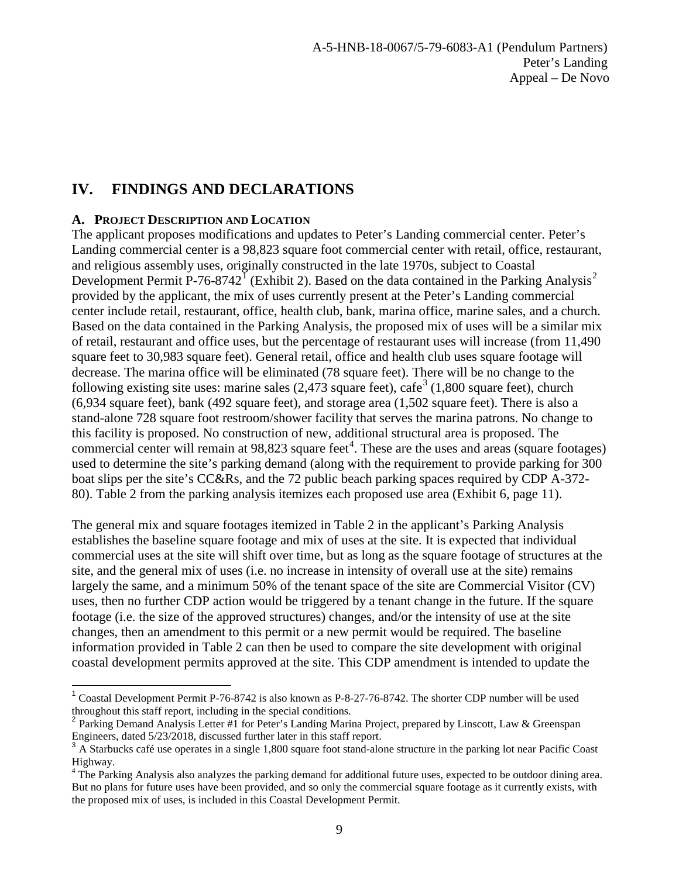# <span id="page-8-0"></span>**IV. FINDINGS AND DECLARATIONS**

## <span id="page-8-1"></span>**A. PROJECT DESCRIPTION AND LOCATION**

The applicant proposes modifications and updates to Peter's Landing commercial center. Peter's Landing commercial center is a 98,823 square foot commercial center with retail, office, restaurant, and religious assembly uses, originally constructed in the late 1970s, subject to Coastal Development Permit P-76-8742<sup>[1](#page-8-2)</sup> (Exhibit [2](#page-8-3)). Based on the data contained in the Parking Analysis<sup>2</sup> provided by the applicant, the mix of uses currently present at the Peter's Landing commercial center include retail, restaurant, office, health club, bank, marina office, marine sales, and a church. Based on the data contained in the Parking Analysis, the proposed mix of uses will be a similar mix of retail, restaurant and office uses, but the percentage of restaurant uses will increase (from 11,490 square feet to 30,983 square feet). General retail, office and health club uses square footage will decrease. The marina office will be eliminated (78 square feet). There will be no change to the following existing site uses: marine sales (2,47[3](#page-8-4) square feet), cafe<sup>3</sup> (1,800 square feet), church (6,934 square feet), bank (492 square feet), and storage area (1,502 square feet). There is also a stand-alone 728 square foot restroom/shower facility that serves the marina patrons. No change to this facility is proposed. No construction of new, additional structural area is proposed. The commercial center will remain at  $98,823$  square feet<sup>[4](#page-8-5)</sup>. These are the uses and areas (square footages) used to determine the site's parking demand (along with the requirement to provide parking for 300 boat slips per the site's CC&Rs, and the 72 public beach parking spaces required by CDP A-372- 80). Table 2 from the parking analysis itemizes each proposed use area (Exhibit 6, page 11).

The general mix and square footages itemized in Table 2 in the applicant's Parking Analysis establishes the baseline square footage and mix of uses at the site. It is expected that individual commercial uses at the site will shift over time, but as long as the square footage of structures at the site, and the general mix of uses (i.e. no increase in intensity of overall use at the site) remains largely the same, and a minimum 50% of the tenant space of the site are Commercial Visitor (CV) uses, then no further CDP action would be triggered by a tenant change in the future. If the square footage (i.e. the size of the approved structures) changes, and/or the intensity of use at the site changes, then an amendment to this permit or a new permit would be required. The baseline information provided in Table 2 can then be used to compare the site development with original coastal development permits approved at the site. This CDP amendment is intended to update the

<span id="page-8-2"></span><sup>&</sup>lt;sup>1</sup> Coastal Development Permit P-76-8742 is also known as P-8-27-76-8742. The shorter CDP number will be used throughout this staff report, including in the special conditions.

<span id="page-8-3"></span><sup>&</sup>lt;sup>2</sup> Parking Demand Analysis Letter #1 for Peter's Landing Marina Project, prepared by Linscott, Law & Greenspan Engineers, dated  $5/23/2018$ , discussed further later in this staff report.

<span id="page-8-4"></span>A Starbucks café use operates in a single 1,800 square foot stand-alone structure in the parking lot near Pacific Coast Highway.

<span id="page-8-5"></span> $4$  The Parking Analysis also analyzes the parking demand for additional future uses, expected to be outdoor dining area. But no plans for future uses have been provided, and so only the commercial square footage as it currently exists, with the proposed mix of uses, is included in this Coastal Development Permit.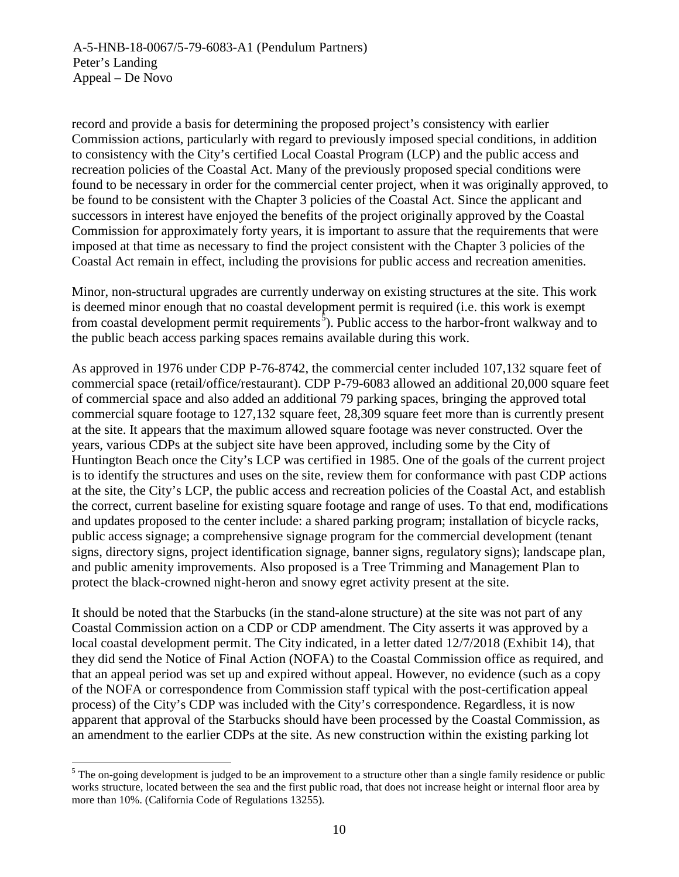record and provide a basis for determining the proposed project's consistency with earlier Commission actions, particularly with regard to previously imposed special conditions, in addition to consistency with the City's certified Local Coastal Program (LCP) and the public access and recreation policies of the Coastal Act. Many of the previously proposed special conditions were found to be necessary in order for the commercial center project, when it was originally approved, to be found to be consistent with the Chapter 3 policies of the Coastal Act. Since the applicant and successors in interest have enjoyed the benefits of the project originally approved by the Coastal Commission for approximately forty years, it is important to assure that the requirements that were imposed at that time as necessary to find the project consistent with the Chapter 3 policies of the Coastal Act remain in effect, including the provisions for public access and recreation amenities.

Minor, non-structural upgrades are currently underway on existing structures at the site. This work is deemed minor enough that no coastal development permit is required (i.e. this work is exempt from coastal development permit requirements<sup>[5](#page-9-0)</sup>). Public access to the harbor-front walkway and to the public beach access parking spaces remains available during this work.

As approved in 1976 under CDP P-76-8742, the commercial center included 107,132 square feet of commercial space (retail/office/restaurant). CDP P-79-6083 allowed an additional 20,000 square feet of commercial space and also added an additional 79 parking spaces, bringing the approved total commercial square footage to 127,132 square feet, 28,309 square feet more than is currently present at the site. It appears that the maximum allowed square footage was never constructed. Over the years, various CDPs at the subject site have been approved, including some by the City of Huntington Beach once the City's LCP was certified in 1985. One of the goals of the current project is to identify the structures and uses on the site, review them for conformance with past CDP actions at the site, the City's LCP, the public access and recreation policies of the Coastal Act, and establish the correct, current baseline for existing square footage and range of uses. To that end, modifications and updates proposed to the center include: a shared parking program; installation of bicycle racks, public access signage; a comprehensive signage program for the commercial development (tenant signs, directory signs, project identification signage, banner signs, regulatory signs); landscape plan, and public amenity improvements. Also proposed is a Tree Trimming and Management Plan to protect the black-crowned night-heron and snowy egret activity present at the site.

It should be noted that the Starbucks (in the stand-alone structure) at the site was not part of any Coastal Commission action on a CDP or CDP amendment. The City asserts it was approved by a local coastal development permit. The City indicated, in a letter dated 12/7/2018 (Exhibit 14), that they did send the Notice of Final Action (NOFA) to the Coastal Commission office as required, and that an appeal period was set up and expired without appeal. However, no evidence (such as a copy of the NOFA or correspondence from Commission staff typical with the post-certification appeal process) of the City's CDP was included with the City's correspondence. Regardless, it is now apparent that approval of the Starbucks should have been processed by the Coastal Commission, as an amendment to the earlier CDPs at the site. As new construction within the existing parking lot

<span id="page-9-0"></span> $<sup>5</sup>$  The on-going development is judged to be an improvement to a structure other than a single family residence or public</sup> works structure, located between the sea and the first public road, that does not increase height or internal floor area by more than 10%. (California Code of Regulations 13255).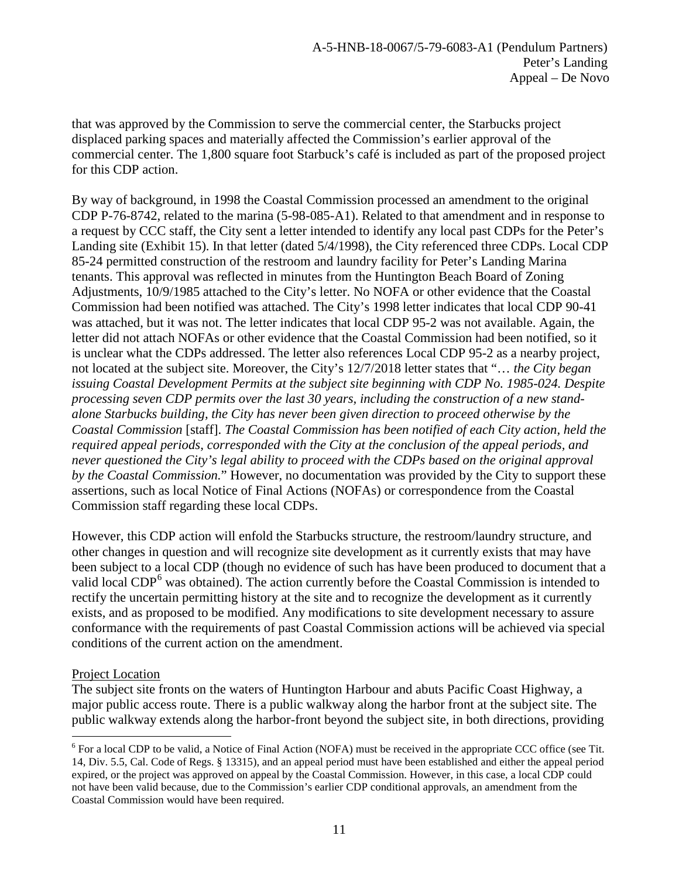that was approved by the Commission to serve the commercial center, the Starbucks project displaced parking spaces and materially affected the Commission's earlier approval of the commercial center. The 1,800 square foot Starbuck's café is included as part of the proposed project for this CDP action.

By way of background, in 1998 the Coastal Commission processed an amendment to the original CDP P-76-8742, related to the marina (5-98-085-A1). Related to that amendment and in response to a request by CCC staff, the City sent a letter intended to identify any local past CDPs for the Peter's Landing site (Exhibit 15). In that letter (dated 5/4/1998), the City referenced three CDPs. Local CDP 85-24 permitted construction of the restroom and laundry facility for Peter's Landing Marina tenants. This approval was reflected in minutes from the Huntington Beach Board of Zoning Adjustments, 10/9/1985 attached to the City's letter. No NOFA or other evidence that the Coastal Commission had been notified was attached. The City's 1998 letter indicates that local CDP 90-41 was attached, but it was not. The letter indicates that local CDP 95-2 was not available. Again, the letter did not attach NOFAs or other evidence that the Coastal Commission had been notified, so it is unclear what the CDPs addressed. The letter also references Local CDP 95-2 as a nearby project, not located at the subject site. Moreover, the City's 12/7/2018 letter states that "… *the City began issuing Coastal Development Permits at the subject site beginning with CDP No. 1985-024. Despite processing seven CDP permits over the last 30 years, including the construction of a new standalone Starbucks building, the City has never been given direction to proceed otherwise by the Coastal Commission* [staff]. *The Coastal Commission has been notified of each City action, held the required appeal periods, corresponded with the City at the conclusion of the appeal periods, and never questioned the City's legal ability to proceed with the CDPs based on the original approval by the Coastal Commission.*" However, no documentation was provided by the City to support these assertions, such as local Notice of Final Actions (NOFAs) or correspondence from the Coastal Commission staff regarding these local CDPs.

However, this CDP action will enfold the Starbucks structure, the restroom/laundry structure, and other changes in question and will recognize site development as it currently exists that may have been subject to a local CDP (though no evidence of such has have been produced to document that a valid local  $CDP<sup>6</sup>$  $CDP<sup>6</sup>$  $CDP<sup>6</sup>$  was obtained). The action currently before the Coastal Commission is intended to rectify the uncertain permitting history at the site and to recognize the development as it currently exists, and as proposed to be modified. Any modifications to site development necessary to assure conformance with the requirements of past Coastal Commission actions will be achieved via special conditions of the current action on the amendment.

# Project Location

The subject site fronts on the waters of Huntington Harbour and abuts Pacific Coast Highway, a major public access route. There is a public walkway along the harbor front at the subject site. The public walkway extends along the harbor-front beyond the subject site, in both directions, providing

<span id="page-10-0"></span> $6$  For a local CDP to be valid, a Notice of Final Action (NOFA) must be received in the appropriate CCC office (see Tit. 14, Div. 5.5, Cal. Code of Regs. § 13315), and an appeal period must have been established and either the appeal period expired, or the project was approved on appeal by the Coastal Commission. However, in this case, a local CDP could not have been valid because, due to the Commission's earlier CDP conditional approvals, an amendment from the Coastal Commission would have been required.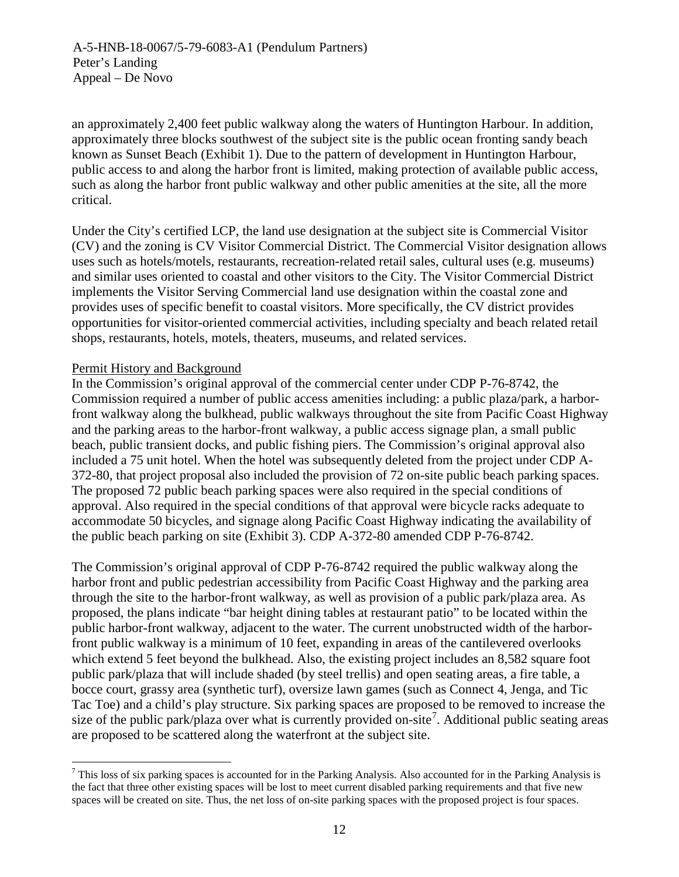an approximately 2,400 feet public walkway along the waters of Huntington Harbour. In addition, approximately three blocks southwest of the subject site is the public ocean fronting sandy beach known as Sunset Beach (Exhibit 1). Due to the pattern of development in Huntington Harbour, public access to and along the harbor front is limited, making protection of available public access, such as along the harbor front public walkway and other public amenities at the site, all the more critical.

Under the City's certified LCP, the land use designation at the subject site is Commercial Visitor (CV) and the zoning is CV Visitor Commercial District. The Commercial Visitor designation allows uses such as hotels/motels, restaurants, recreation-related retail sales, cultural uses (e.g. museums) and similar uses oriented to coastal and other visitors to the City. The Visitor Commercial District implements the Visitor Serving Commercial land use designation within the coastal zone and provides uses of specific benefit to coastal visitors. More specifically, the CV district provides opportunities for visitor-oriented commercial activities, including specialty and beach related retail shops, restaurants, hotels, motels, theaters, museums, and related services.

# Permit History and Background

In the Commission's original approval of the commercial center under CDP P-76-8742, the Commission required a number of public access amenities including: a public plaza/park, a harborfront walkway along the bulkhead, public walkways throughout the site from Pacific Coast Highway and the parking areas to the harbor-front walkway, a public access signage plan, a small public beach, public transient docks, and public fishing piers. The Commission's original approval also included a 75 unit hotel. When the hotel was subsequently deleted from the project under CDP A-372-80, that project proposal also included the provision of 72 on-site public beach parking spaces. The proposed 72 public beach parking spaces were also required in the special conditions of approval. Also required in the special conditions of that approval were bicycle racks adequate to accommodate 50 bicycles, and signage along Pacific Coast Highway indicating the availability of the public beach parking on site (Exhibit 3). CDP A-372-80 amended CDP P-76-8742.

The Commission's original approval of CDP P-76-8742 required the public walkway along the harbor front and public pedestrian accessibility from Pacific Coast Highway and the parking area through the site to the harbor-front walkway, as well as provision of a public park/plaza area. As proposed, the plans indicate "bar height dining tables at restaurant patio" to be located within the public harbor-front walkway, adjacent to the water. The current unobstructed width of the harborfront public walkway is a minimum of 10 feet, expanding in areas of the cantilevered overlooks which extend 5 feet beyond the bulkhead. Also, the existing project includes an 8,582 square foot public park/plaza that will include shaded (by steel trellis) and open seating areas, a fire table, a bocce court, grassy area (synthetic turf), oversize lawn games (such as Connect 4, Jenga, and Tic Tac Toe) and a child's play structure. Six parking spaces are proposed to be removed to increase the size of the public park/plaza over what is currently provided on-site<sup>[7](#page-11-0)</sup>. Additional public seating areas are proposed to be scattered along the waterfront at the subject site.

<span id="page-11-0"></span><sup>&</sup>lt;sup>7</sup> This loss of six parking spaces is accounted for in the Parking Analysis. Also accounted for in the Parking Analysis is the fact that three other existing spaces will be lost to meet current disabled parking requirements and that five new spaces will be created on site. Thus, the net loss of on-site parking spaces with the proposed project is four spaces.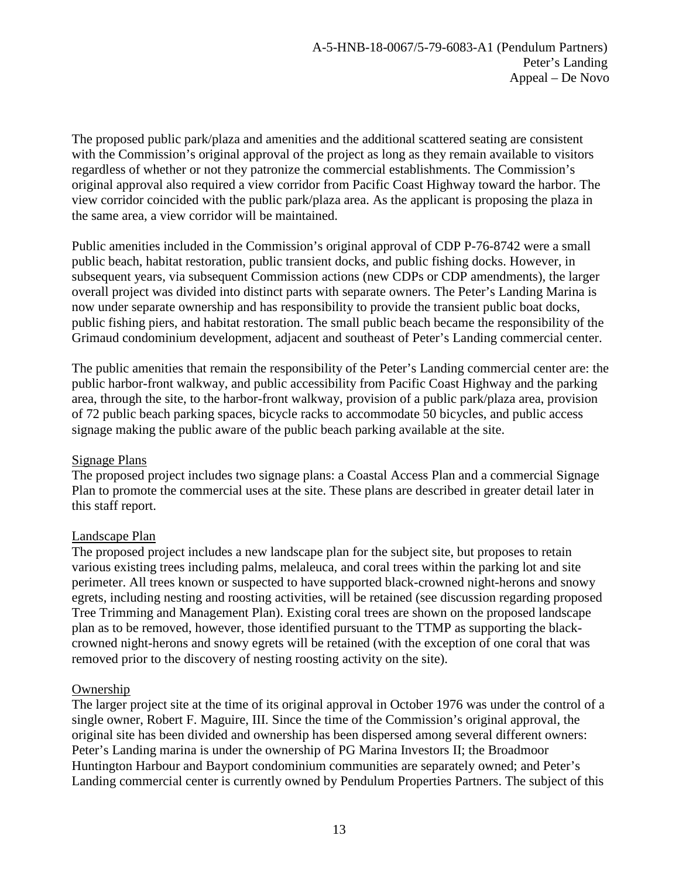The proposed public park/plaza and amenities and the additional scattered seating are consistent with the Commission's original approval of the project as long as they remain available to visitors regardless of whether or not they patronize the commercial establishments. The Commission's original approval also required a view corridor from Pacific Coast Highway toward the harbor. The view corridor coincided with the public park/plaza area. As the applicant is proposing the plaza in the same area, a view corridor will be maintained.

Public amenities included in the Commission's original approval of CDP P-76-8742 were a small public beach, habitat restoration, public transient docks, and public fishing docks. However, in subsequent years, via subsequent Commission actions (new CDPs or CDP amendments), the larger overall project was divided into distinct parts with separate owners. The Peter's Landing Marina is now under separate ownership and has responsibility to provide the transient public boat docks, public fishing piers, and habitat restoration. The small public beach became the responsibility of the Grimaud condominium development, adjacent and southeast of Peter's Landing commercial center.

The public amenities that remain the responsibility of the Peter's Landing commercial center are: the public harbor-front walkway, and public accessibility from Pacific Coast Highway and the parking area, through the site, to the harbor-front walkway, provision of a public park/plaza area, provision of 72 public beach parking spaces, bicycle racks to accommodate 50 bicycles, and public access signage making the public aware of the public beach parking available at the site.

#### Signage Plans

The proposed project includes two signage plans: a Coastal Access Plan and a commercial Signage Plan to promote the commercial uses at the site. These plans are described in greater detail later in this staff report.

# Landscape Plan

The proposed project includes a new landscape plan for the subject site, but proposes to retain various existing trees including palms, melaleuca, and coral trees within the parking lot and site perimeter. All trees known or suspected to have supported black-crowned night-herons and snowy egrets, including nesting and roosting activities, will be retained (see discussion regarding proposed Tree Trimming and Management Plan). Existing coral trees are shown on the proposed landscape plan as to be removed, however, those identified pursuant to the TTMP as supporting the blackcrowned night-herons and snowy egrets will be retained (with the exception of one coral that was removed prior to the discovery of nesting roosting activity on the site).

#### Ownership

The larger project site at the time of its original approval in October 1976 was under the control of a single owner, Robert F. Maguire, III. Since the time of the Commission's original approval, the original site has been divided and ownership has been dispersed among several different owners: Peter's Landing marina is under the ownership of PG Marina Investors II; the Broadmoor Huntington Harbour and Bayport condominium communities are separately owned; and Peter's Landing commercial center is currently owned by Pendulum Properties Partners. The subject of this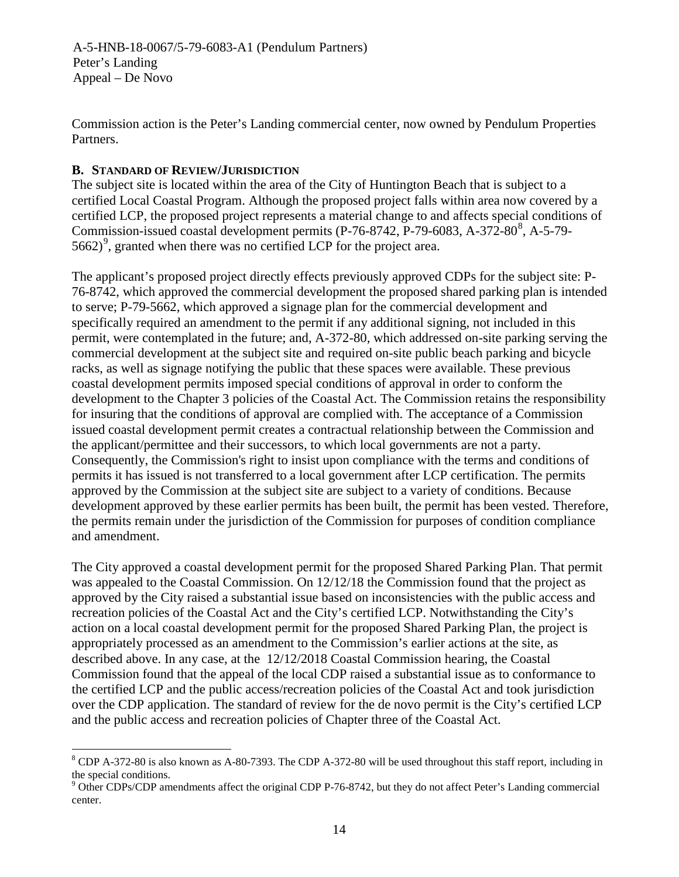A-5-HNB-18-0067/5-79-6083-A1 (Pendulum Partners) Peter's Landing Appeal – De Novo

Commission action is the Peter's Landing commercial center, now owned by Pendulum Properties Partners.

# <span id="page-13-0"></span>**B. STANDARD OF REVIEW/JURISDICTION**

The subject site is located within the area of the City of Huntington Beach that is subject to a certified Local Coastal Program. Although the proposed project falls within area now covered by a certified LCP, the proposed project represents a material change to and affects special conditions of Commission-issued coastal development permits (P-76-[8](#page-13-1)742, P-79-6083, A-372-80<sup>8</sup>, A-5-79-5662)<sup>[9](#page-13-2)</sup>, granted when there was no certified LCP for the project area.

The applicant's proposed project directly effects previously approved CDPs for the subject site: P-76-8742, which approved the commercial development the proposed shared parking plan is intended to serve; P-79-5662, which approved a signage plan for the commercial development and specifically required an amendment to the permit if any additional signing, not included in this permit, were contemplated in the future; and, A-372-80, which addressed on-site parking serving the commercial development at the subject site and required on-site public beach parking and bicycle racks, as well as signage notifying the public that these spaces were available. These previous coastal development permits imposed special conditions of approval in order to conform the development to the Chapter 3 policies of the Coastal Act. The Commission retains the responsibility for insuring that the conditions of approval are complied with. The acceptance of a Commission issued coastal development permit creates a contractual relationship between the Commission and the applicant/permittee and their successors, to which local governments are not a party. Consequently, the Commission's right to insist upon compliance with the terms and conditions of permits it has issued is not transferred to a local government after LCP certification. The permits approved by the Commission at the subject site are subject to a variety of conditions. Because development approved by these earlier permits has been built, the permit has been vested. Therefore, the permits remain under the jurisdiction of the Commission for purposes of condition compliance and amendment.

The City approved a coastal development permit for the proposed Shared Parking Plan. That permit was appealed to the Coastal Commission. On 12/12/18 the Commission found that the project as approved by the City raised a substantial issue based on inconsistencies with the public access and recreation policies of the Coastal Act and the City's certified LCP. Notwithstanding the City's action on a local coastal development permit for the proposed Shared Parking Plan, the project is appropriately processed as an amendment to the Commission's earlier actions at the site, as described above. In any case, at the 12/12/2018 Coastal Commission hearing, the Coastal Commission found that the appeal of the local CDP raised a substantial issue as to conformance to the certified LCP and the public access/recreation policies of the Coastal Act and took jurisdiction over the CDP application. The standard of review for the de novo permit is the City's certified LCP and the public access and recreation policies of Chapter three of the Coastal Act.

<span id="page-13-1"></span><sup>&</sup>lt;sup>8</sup> CDP A-372-80 is also known as A-80-7393. The CDP A-372-80 will be used throughout this staff report, including in the special conditions.

<span id="page-13-2"></span> $9$  Other CDPs/CDP amendments affect the original CDP P-76-8742, but they do not affect Peter's Landing commercial center.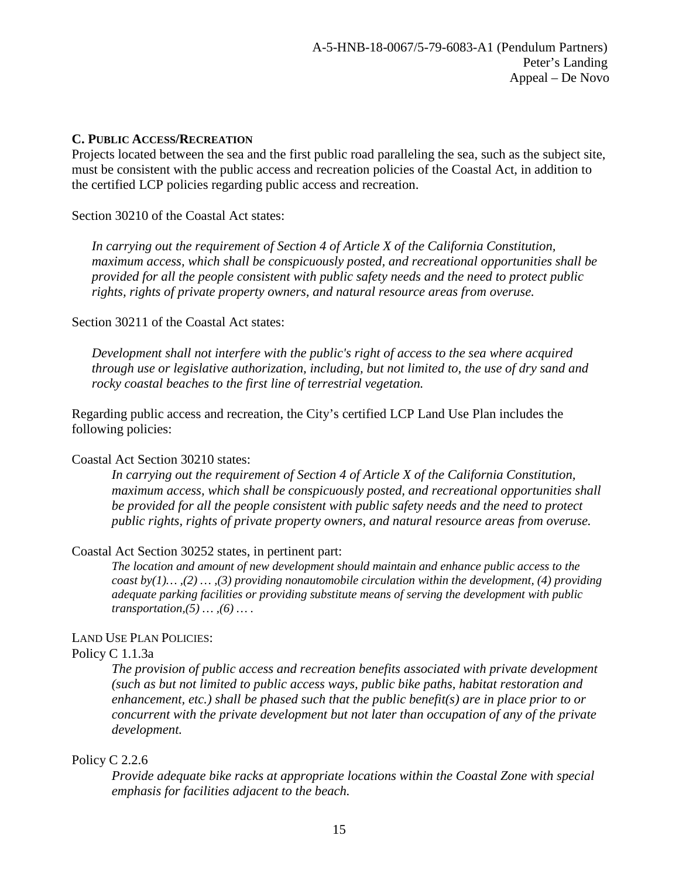#### <span id="page-14-0"></span>**C. PUBLIC ACCESS/RECREATION**

Projects located between the sea and the first public road paralleling the sea, such as the subject site, must be consistent with the public access and recreation policies of the Coastal Act, in addition to the certified LCP policies regarding public access and recreation.

#### Section 30210 of the Coastal Act states:

*In carrying out the requirement of Section 4 of Article X of the California Constitution, maximum access, which shall be conspicuously posted, and recreational opportunities shall be provided for all the people consistent with public safety needs and the need to protect public rights, rights of private property owners, and natural resource areas from overuse.*

#### Section 30211 of the Coastal Act states:

*Development shall not interfere with the public's right of access to the sea where acquired through use or legislative authorization, including, but not limited to, the use of dry sand and rocky coastal beaches to the first line of terrestrial vegetation.*

Regarding public access and recreation, the City's certified LCP Land Use Plan includes the following policies:

#### Coastal Act Section 30210 states:

*In carrying out the requirement of Section 4 of Article X of the California Constitution, maximum access, which shall be conspicuously posted, and recreational opportunities shall be provided for all the people consistent with public safety needs and the need to protect public rights, rights of private property owners, and natural resource areas from overuse.*

#### Coastal Act Section 30252 states, in pertinent part:

*The location and amount of new development should maintain and enhance public access to the coast by(1)… ,(2) … ,(3) providing nonautomobile circulation within the development, (4) providing adequate parking facilities or providing substitute means of serving the development with public transportation,(5) … ,(6) … .*

#### LAND USE PLAN POLICIES:

#### Policy C 1.1.3a

*The provision of public access and recreation benefits associated with private development (such as but not limited to public access ways, public bike paths, habitat restoration and enhancement, etc.) shall be phased such that the public benefit(s) are in place prior to or concurrent with the private development but not later than occupation of any of the private development.*

#### Policy C 2.2.6

*Provide adequate bike racks at appropriate locations within the Coastal Zone with special emphasis for facilities adjacent to the beach.*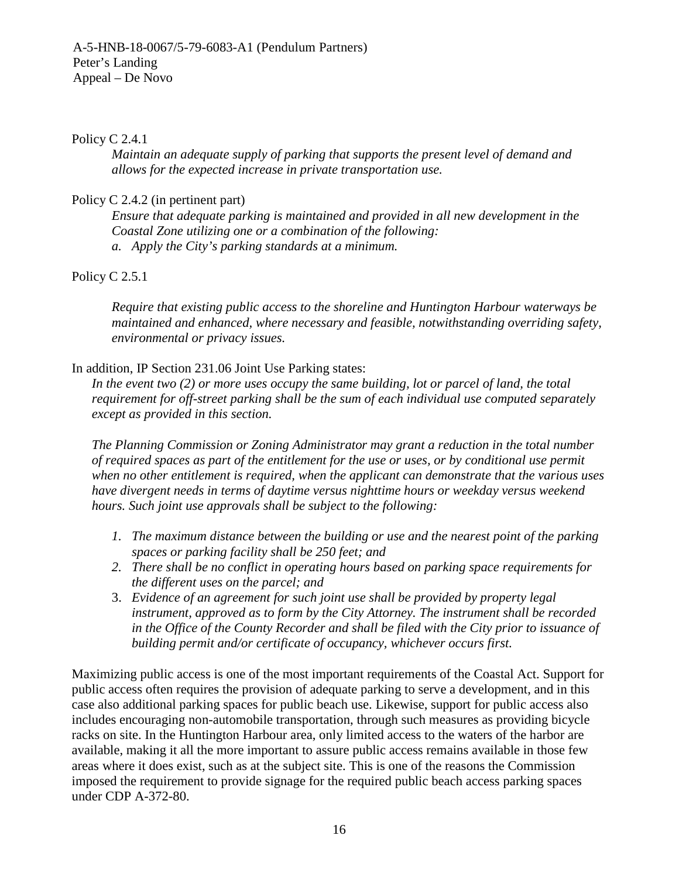#### Policy C 2.4.1

*Maintain an adequate supply of parking that supports the present level of demand and allows for the expected increase in private transportation use.*

#### Policy C 2.4.2 (in pertinent part)

*Ensure that adequate parking is maintained and provided in all new development in the Coastal Zone utilizing one or a combination of the following: a. Apply the City's parking standards at a minimum.*

Policy C 2.5.1

*Require that existing public access to the shoreline and Huntington Harbour waterways be maintained and enhanced, where necessary and feasible, notwithstanding overriding safety, environmental or privacy issues.*

#### In addition, IP Section 231.06 Joint Use Parking states:

*In the event two (2) or more uses occupy the same building, lot or parcel of land, the total requirement for off-street parking shall be the sum of each individual use computed separately except as provided in this section.*

*The Planning Commission or Zoning Administrator may grant a reduction in the total number of required spaces as part of the entitlement for the use or uses, or by conditional use permit when no other entitlement is required, when the applicant can demonstrate that the various uses have divergent needs in terms of daytime versus nighttime hours or weekday versus weekend hours. Such joint use approvals shall be subject to the following:*

- *1. The maximum distance between the building or use and the nearest point of the parking spaces or parking facility shall be 250 feet; and*
- *2. There shall be no conflict in operating hours based on parking space requirements for the different uses on the parcel; and*
- 3. *Evidence of an agreement for such joint use shall be provided by property legal instrument, approved as to form by the City Attorney. The instrument shall be recorded in the Office of the County Recorder and shall be filed with the City prior to issuance of building permit and/or certificate of occupancy, whichever occurs first.*

Maximizing public access is one of the most important requirements of the Coastal Act. Support for public access often requires the provision of adequate parking to serve a development, and in this case also additional parking spaces for public beach use. Likewise, support for public access also includes encouraging non-automobile transportation, through such measures as providing bicycle racks on site. In the Huntington Harbour area, only limited access to the waters of the harbor are available, making it all the more important to assure public access remains available in those few areas where it does exist, such as at the subject site. This is one of the reasons the Commission imposed the requirement to provide signage for the required public beach access parking spaces under CDP A-372-80.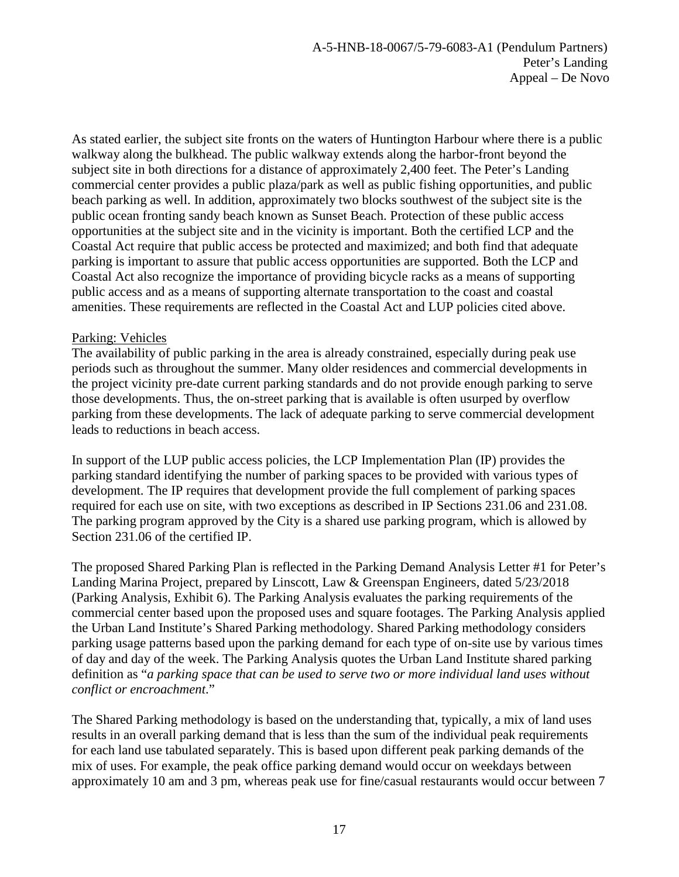As stated earlier, the subject site fronts on the waters of Huntington Harbour where there is a public walkway along the bulkhead. The public walkway extends along the harbor-front beyond the subject site in both directions for a distance of approximately 2,400 feet. The Peter's Landing commercial center provides a public plaza/park as well as public fishing opportunities, and public beach parking as well. In addition, approximately two blocks southwest of the subject site is the public ocean fronting sandy beach known as Sunset Beach. Protection of these public access opportunities at the subject site and in the vicinity is important. Both the certified LCP and the Coastal Act require that public access be protected and maximized; and both find that adequate parking is important to assure that public access opportunities are supported. Both the LCP and Coastal Act also recognize the importance of providing bicycle racks as a means of supporting public access and as a means of supporting alternate transportation to the coast and coastal amenities. These requirements are reflected in the Coastal Act and LUP policies cited above.

## Parking: Vehicles

The availability of public parking in the area is already constrained, especially during peak use periods such as throughout the summer. Many older residences and commercial developments in the project vicinity pre-date current parking standards and do not provide enough parking to serve those developments. Thus, the on-street parking that is available is often usurped by overflow parking from these developments. The lack of adequate parking to serve commercial development leads to reductions in beach access.

In support of the LUP public access policies, the LCP Implementation Plan (IP) provides the parking standard identifying the number of parking spaces to be provided with various types of development. The IP requires that development provide the full complement of parking spaces required for each use on site, with two exceptions as described in IP Sections 231.06 and 231.08. The parking program approved by the City is a shared use parking program, which is allowed by Section 231.06 of the certified IP.

The proposed Shared Parking Plan is reflected in the Parking Demand Analysis Letter #1 for Peter's Landing Marina Project, prepared by Linscott, Law & Greenspan Engineers, dated 5/23/2018 (Parking Analysis, Exhibit 6). The Parking Analysis evaluates the parking requirements of the commercial center based upon the proposed uses and square footages. The Parking Analysis applied the Urban Land Institute's Shared Parking methodology. Shared Parking methodology considers parking usage patterns based upon the parking demand for each type of on-site use by various times of day and day of the week. The Parking Analysis quotes the Urban Land Institute shared parking definition as "*a parking space that can be used to serve two or more individual land uses without conflict or encroachment*."

The Shared Parking methodology is based on the understanding that, typically, a mix of land uses results in an overall parking demand that is less than the sum of the individual peak requirements for each land use tabulated separately. This is based upon different peak parking demands of the mix of uses. For example, the peak office parking demand would occur on weekdays between approximately 10 am and 3 pm, whereas peak use for fine/casual restaurants would occur between 7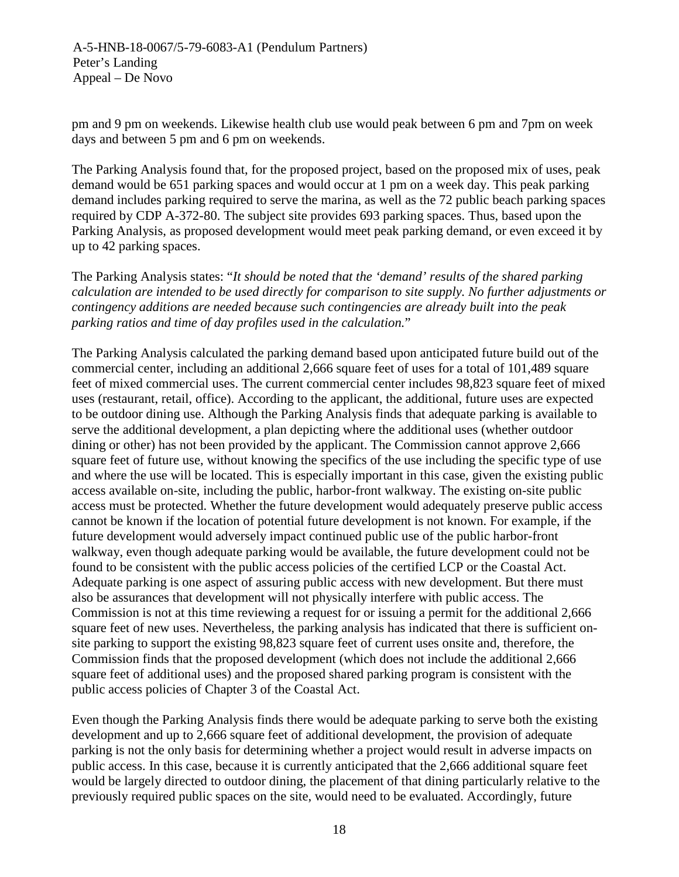pm and 9 pm on weekends. Likewise health club use would peak between 6 pm and 7pm on week days and between 5 pm and 6 pm on weekends.

The Parking Analysis found that, for the proposed project, based on the proposed mix of uses, peak demand would be 651 parking spaces and would occur at 1 pm on a week day. This peak parking demand includes parking required to serve the marina, as well as the 72 public beach parking spaces required by CDP A-372-80. The subject site provides 693 parking spaces. Thus, based upon the Parking Analysis, as proposed development would meet peak parking demand, or even exceed it by up to 42 parking spaces.

The Parking Analysis states: "*It should be noted that the 'demand' results of the shared parking calculation are intended to be used directly for comparison to site supply. No further adjustments or contingency additions are needed because such contingencies are already built into the peak parking ratios and time of day profiles used in the calculation.*"

The Parking Analysis calculated the parking demand based upon anticipated future build out of the commercial center, including an additional 2,666 square feet of uses for a total of 101,489 square feet of mixed commercial uses. The current commercial center includes 98,823 square feet of mixed uses (restaurant, retail, office). According to the applicant, the additional, future uses are expected to be outdoor dining use. Although the Parking Analysis finds that adequate parking is available to serve the additional development, a plan depicting where the additional uses (whether outdoor dining or other) has not been provided by the applicant. The Commission cannot approve 2,666 square feet of future use, without knowing the specifics of the use including the specific type of use and where the use will be located. This is especially important in this case, given the existing public access available on-site, including the public, harbor-front walkway. The existing on-site public access must be protected. Whether the future development would adequately preserve public access cannot be known if the location of potential future development is not known. For example, if the future development would adversely impact continued public use of the public harbor-front walkway, even though adequate parking would be available, the future development could not be found to be consistent with the public access policies of the certified LCP or the Coastal Act. Adequate parking is one aspect of assuring public access with new development. But there must also be assurances that development will not physically interfere with public access. The Commission is not at this time reviewing a request for or issuing a permit for the additional 2,666 square feet of new uses. Nevertheless, the parking analysis has indicated that there is sufficient onsite parking to support the existing 98,823 square feet of current uses onsite and, therefore, the Commission finds that the proposed development (which does not include the additional 2,666 square feet of additional uses) and the proposed shared parking program is consistent with the public access policies of Chapter 3 of the Coastal Act.

Even though the Parking Analysis finds there would be adequate parking to serve both the existing development and up to 2,666 square feet of additional development, the provision of adequate parking is not the only basis for determining whether a project would result in adverse impacts on public access. In this case, because it is currently anticipated that the 2,666 additional square feet would be largely directed to outdoor dining, the placement of that dining particularly relative to the previously required public spaces on the site, would need to be evaluated. Accordingly, future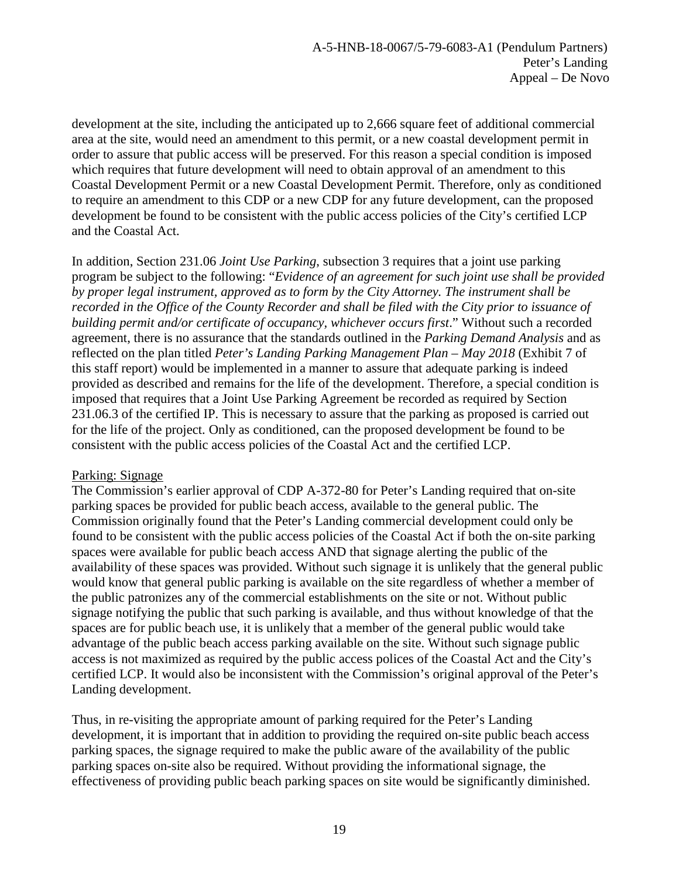development at the site, including the anticipated up to 2,666 square feet of additional commercial area at the site, would need an amendment to this permit, or a new coastal development permit in order to assure that public access will be preserved. For this reason a special condition is imposed which requires that future development will need to obtain approval of an amendment to this Coastal Development Permit or a new Coastal Development Permit. Therefore, only as conditioned to require an amendment to this CDP or a new CDP for any future development, can the proposed development be found to be consistent with the public access policies of the City's certified LCP and the Coastal Act.

In addition, Section 231.06 *Joint Use Parking*, subsection 3 requires that a joint use parking program be subject to the following: "*Evidence of an agreement for such joint use shall be provided by proper legal instrument, approved as to form by the City Attorney. The instrument shall be recorded in the Office of the County Recorder and shall be filed with the City prior to issuance of building permit and/or certificate of occupancy, whichever occurs first*." Without such a recorded agreement, there is no assurance that the standards outlined in the *Parking Demand Analysis* and as reflected on the plan titled *Peter's Landing Parking Management Plan – May 2018* (Exhibit 7 of this staff report) would be implemented in a manner to assure that adequate parking is indeed provided as described and remains for the life of the development. Therefore, a special condition is imposed that requires that a Joint Use Parking Agreement be recorded as required by Section 231.06.3 of the certified IP. This is necessary to assure that the parking as proposed is carried out for the life of the project. Only as conditioned, can the proposed development be found to be consistent with the public access policies of the Coastal Act and the certified LCP.

#### Parking: Signage

The Commission's earlier approval of CDP A-372-80 for Peter's Landing required that on-site parking spaces be provided for public beach access, available to the general public. The Commission originally found that the Peter's Landing commercial development could only be found to be consistent with the public access policies of the Coastal Act if both the on-site parking spaces were available for public beach access AND that signage alerting the public of the availability of these spaces was provided. Without such signage it is unlikely that the general public would know that general public parking is available on the site regardless of whether a member of the public patronizes any of the commercial establishments on the site or not. Without public signage notifying the public that such parking is available, and thus without knowledge of that the spaces are for public beach use, it is unlikely that a member of the general public would take advantage of the public beach access parking available on the site. Without such signage public access is not maximized as required by the public access polices of the Coastal Act and the City's certified LCP. It would also be inconsistent with the Commission's original approval of the Peter's Landing development.

Thus, in re-visiting the appropriate amount of parking required for the Peter's Landing development, it is important that in addition to providing the required on-site public beach access parking spaces, the signage required to make the public aware of the availability of the public parking spaces on-site also be required. Without providing the informational signage, the effectiveness of providing public beach parking spaces on site would be significantly diminished.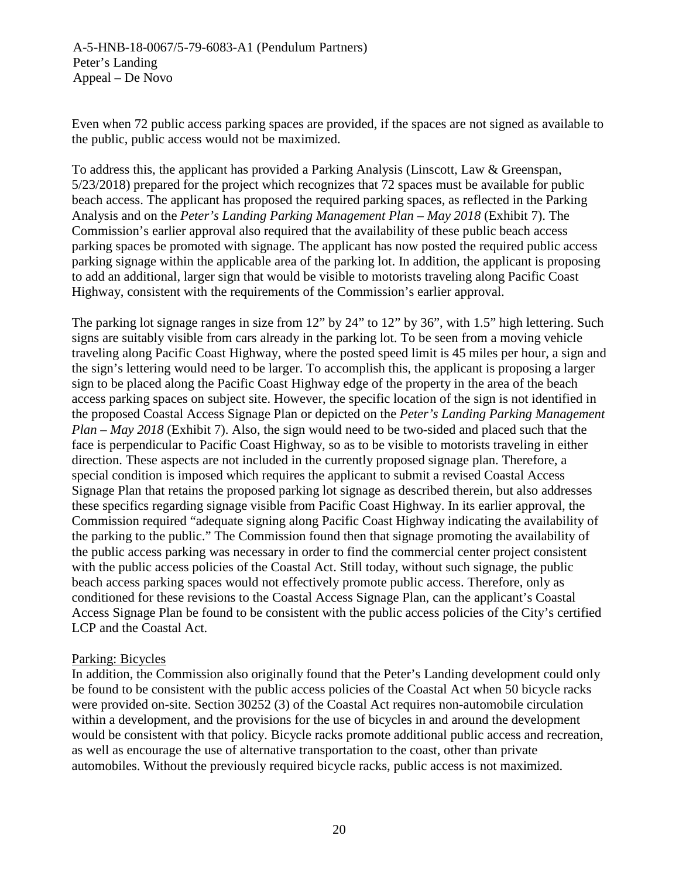Even when 72 public access parking spaces are provided, if the spaces are not signed as available to the public, public access would not be maximized.

To address this, the applicant has provided a Parking Analysis (Linscott, Law & Greenspan, 5/23/2018) prepared for the project which recognizes that 72 spaces must be available for public beach access. The applicant has proposed the required parking spaces, as reflected in the Parking Analysis and on the *Peter's Landing Parking Management Plan – May 2018* (Exhibit 7). The Commission's earlier approval also required that the availability of these public beach access parking spaces be promoted with signage. The applicant has now posted the required public access parking signage within the applicable area of the parking lot. In addition, the applicant is proposing to add an additional, larger sign that would be visible to motorists traveling along Pacific Coast Highway, consistent with the requirements of the Commission's earlier approval.

The parking lot signage ranges in size from 12" by 24" to 12" by 36", with 1.5" high lettering. Such signs are suitably visible from cars already in the parking lot. To be seen from a moving vehicle traveling along Pacific Coast Highway, where the posted speed limit is 45 miles per hour, a sign and the sign's lettering would need to be larger. To accomplish this, the applicant is proposing a larger sign to be placed along the Pacific Coast Highway edge of the property in the area of the beach access parking spaces on subject site. However, the specific location of the sign is not identified in the proposed Coastal Access Signage Plan or depicted on the *Peter's Landing Parking Management Plan – May 2018* (Exhibit 7). Also, the sign would need to be two-sided and placed such that the face is perpendicular to Pacific Coast Highway, so as to be visible to motorists traveling in either direction. These aspects are not included in the currently proposed signage plan. Therefore, a special condition is imposed which requires the applicant to submit a revised Coastal Access Signage Plan that retains the proposed parking lot signage as described therein, but also addresses these specifics regarding signage visible from Pacific Coast Highway. In its earlier approval, the Commission required "adequate signing along Pacific Coast Highway indicating the availability of the parking to the public." The Commission found then that signage promoting the availability of the public access parking was necessary in order to find the commercial center project consistent with the public access policies of the Coastal Act. Still today, without such signage, the public beach access parking spaces would not effectively promote public access. Therefore, only as conditioned for these revisions to the Coastal Access Signage Plan, can the applicant's Coastal Access Signage Plan be found to be consistent with the public access policies of the City's certified LCP and the Coastal Act.

# Parking: Bicycles

In addition, the Commission also originally found that the Peter's Landing development could only be found to be consistent with the public access policies of the Coastal Act when 50 bicycle racks were provided on-site. Section 30252 (3) of the Coastal Act requires non-automobile circulation within a development, and the provisions for the use of bicycles in and around the development would be consistent with that policy. Bicycle racks promote additional public access and recreation, as well as encourage the use of alternative transportation to the coast, other than private automobiles. Without the previously required bicycle racks, public access is not maximized.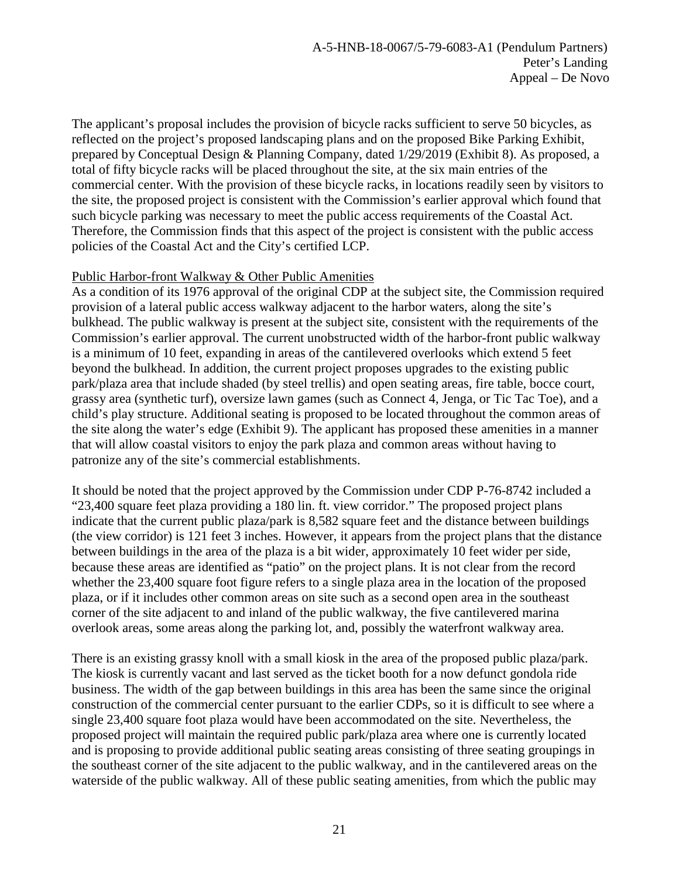The applicant's proposal includes the provision of bicycle racks sufficient to serve 50 bicycles, as reflected on the project's proposed landscaping plans and on the proposed Bike Parking Exhibit, prepared by Conceptual Design & Planning Company, dated 1/29/2019 (Exhibit 8). As proposed, a total of fifty bicycle racks will be placed throughout the site, at the six main entries of the commercial center. With the provision of these bicycle racks, in locations readily seen by visitors to the site, the proposed project is consistent with the Commission's earlier approval which found that such bicycle parking was necessary to meet the public access requirements of the Coastal Act. Therefore, the Commission finds that this aspect of the project is consistent with the public access policies of the Coastal Act and the City's certified LCP.

## Public Harbor-front Walkway & Other Public Amenities

As a condition of its 1976 approval of the original CDP at the subject site, the Commission required provision of a lateral public access walkway adjacent to the harbor waters, along the site's bulkhead. The public walkway is present at the subject site, consistent with the requirements of the Commission's earlier approval. The current unobstructed width of the harbor-front public walkway is a minimum of 10 feet, expanding in areas of the cantilevered overlooks which extend 5 feet beyond the bulkhead. In addition, the current project proposes upgrades to the existing public park/plaza area that include shaded (by steel trellis) and open seating areas, fire table, bocce court, grassy area (synthetic turf), oversize lawn games (such as Connect 4, Jenga, or Tic Tac Toe), and a child's play structure. Additional seating is proposed to be located throughout the common areas of the site along the water's edge (Exhibit 9). The applicant has proposed these amenities in a manner that will allow coastal visitors to enjoy the park plaza and common areas without having to patronize any of the site's commercial establishments.

It should be noted that the project approved by the Commission under CDP P-76-8742 included a "23,400 square feet plaza providing a 180 lin. ft. view corridor." The proposed project plans indicate that the current public plaza/park is 8,582 square feet and the distance between buildings (the view corridor) is 121 feet 3 inches. However, it appears from the project plans that the distance between buildings in the area of the plaza is a bit wider, approximately 10 feet wider per side, because these areas are identified as "patio" on the project plans. It is not clear from the record whether the 23,400 square foot figure refers to a single plaza area in the location of the proposed plaza, or if it includes other common areas on site such as a second open area in the southeast corner of the site adjacent to and inland of the public walkway, the five cantilevered marina overlook areas, some areas along the parking lot, and, possibly the waterfront walkway area.

There is an existing grassy knoll with a small kiosk in the area of the proposed public plaza/park. The kiosk is currently vacant and last served as the ticket booth for a now defunct gondola ride business. The width of the gap between buildings in this area has been the same since the original construction of the commercial center pursuant to the earlier CDPs, so it is difficult to see where a single 23,400 square foot plaza would have been accommodated on the site. Nevertheless, the proposed project will maintain the required public park/plaza area where one is currently located and is proposing to provide additional public seating areas consisting of three seating groupings in the southeast corner of the site adjacent to the public walkway, and in the cantilevered areas on the waterside of the public walkway. All of these public seating amenities, from which the public may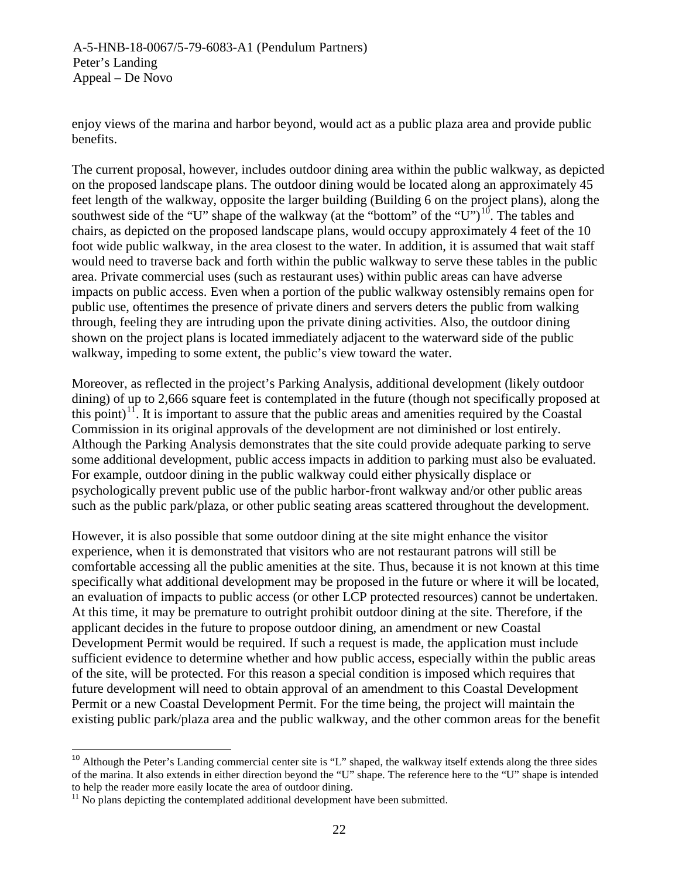A-5-HNB-18-0067/5-79-6083-A1 (Pendulum Partners) Peter's Landing Appeal – De Novo

enjoy views of the marina and harbor beyond, would act as a public plaza area and provide public benefits.

The current proposal, however, includes outdoor dining area within the public walkway, as depicted on the proposed landscape plans. The outdoor dining would be located along an approximately 45 feet length of the walkway, opposite the larger building (Building 6 on the project plans), along the southwest side of the "U" shape of the walkway (at the "bottom" of the "U")<sup>[10](#page-21-0)</sup>. The tables and chairs, as depicted on the proposed landscape plans, would occupy approximately 4 feet of the 10 foot wide public walkway, in the area closest to the water. In addition, it is assumed that wait staff would need to traverse back and forth within the public walkway to serve these tables in the public area. Private commercial uses (such as restaurant uses) within public areas can have adverse impacts on public access. Even when a portion of the public walkway ostensibly remains open for public use, oftentimes the presence of private diners and servers deters the public from walking through, feeling they are intruding upon the private dining activities. Also, the outdoor dining shown on the project plans is located immediately adjacent to the waterward side of the public walkway, impeding to some extent, the public's view toward the water.

Moreover, as reflected in the project's Parking Analysis, additional development (likely outdoor dining) of up to 2,666 square feet is contemplated in the future (though not specifically proposed at this point)<sup>11</sup>. It is important to assure that the public areas and amenities required by the Coastal Commission in its original approvals of the development are not diminished or lost entirely. Although the Parking Analysis demonstrates that the site could provide adequate parking to serve some additional development, public access impacts in addition to parking must also be evaluated. For example, outdoor dining in the public walkway could either physically displace or psychologically prevent public use of the public harbor-front walkway and/or other public areas such as the public park/plaza, or other public seating areas scattered throughout the development.

However, it is also possible that some outdoor dining at the site might enhance the visitor experience, when it is demonstrated that visitors who are not restaurant patrons will still be comfortable accessing all the public amenities at the site. Thus, because it is not known at this time specifically what additional development may be proposed in the future or where it will be located, an evaluation of impacts to public access (or other LCP protected resources) cannot be undertaken. At this time, it may be premature to outright prohibit outdoor dining at the site. Therefore, if the applicant decides in the future to propose outdoor dining, an amendment or new Coastal Development Permit would be required. If such a request is made, the application must include sufficient evidence to determine whether and how public access, especially within the public areas of the site, will be protected. For this reason a special condition is imposed which requires that future development will need to obtain approval of an amendment to this Coastal Development Permit or a new Coastal Development Permit. For the time being, the project will maintain the existing public park/plaza area and the public walkway, and the other common areas for the benefit

<span id="page-21-0"></span><sup>&</sup>lt;sup>10</sup> Although the Peter's Landing commercial center site is "L" shaped, the walkway itself extends along the three sides of the marina. It also extends in either direction beyond the "U" shape. The reference here to the "U" shape is intended

<span id="page-21-1"></span> $\frac{11}{11}$  No plans depicting the contemplated additional development have been submitted.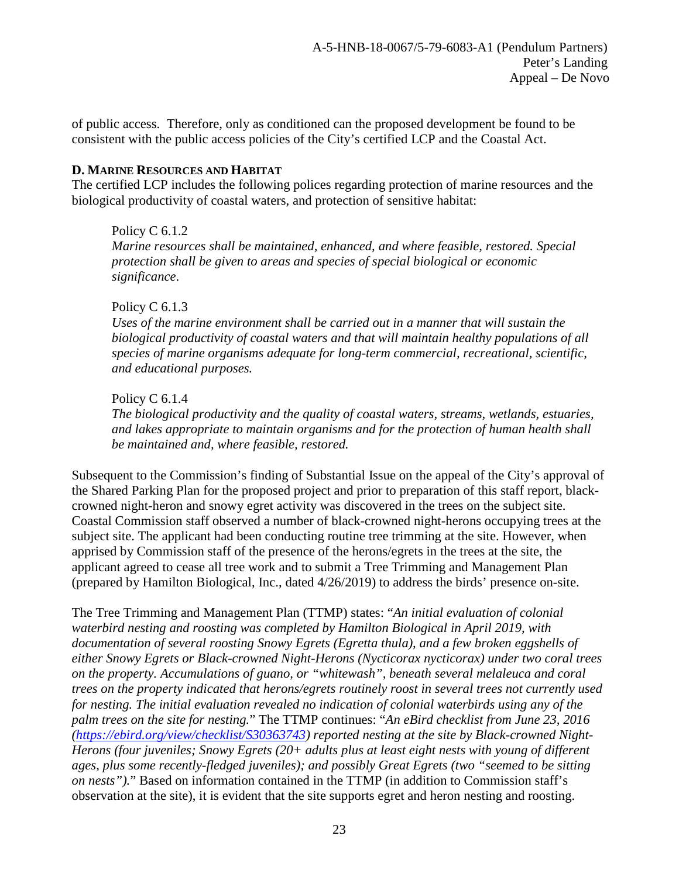of public access. Therefore, only as conditioned can the proposed development be found to be consistent with the public access policies of the City's certified LCP and the Coastal Act.

## <span id="page-22-0"></span>**D. MARINE RESOURCES AND HABITAT**

The certified LCP includes the following polices regarding protection of marine resources and the biological productivity of coastal waters, and protection of sensitive habitat:

Policy C 6.1.2 *Marine resources shall be maintained, enhanced, and where feasible, restored. Special protection shall be given to areas and species of special biological or economic significance*.

# Policy C 6.1.3

*Uses of the marine environment shall be carried out in a manner that will sustain the biological productivity of coastal waters and that will maintain healthy populations of all species of marine organisms adequate for long-term commercial, recreational, scientific, and educational purposes.*

# Policy C 6.1.4

*The biological productivity and the quality of coastal waters, streams, wetlands, estuaries, and lakes appropriate to maintain organisms and for the protection of human health shall be maintained and, where feasible, restored.*

Subsequent to the Commission's finding of Substantial Issue on the appeal of the City's approval of the Shared Parking Plan for the proposed project and prior to preparation of this staff report, blackcrowned night-heron and snowy egret activity was discovered in the trees on the subject site. Coastal Commission staff observed a number of black-crowned night-herons occupying trees at the subject site. The applicant had been conducting routine tree trimming at the site. However, when apprised by Commission staff of the presence of the herons/egrets in the trees at the site, the applicant agreed to cease all tree work and to submit a Tree Trimming and Management Plan (prepared by Hamilton Biological, Inc., dated 4/26/2019) to address the birds' presence on-site.

The Tree Trimming and Management Plan (TTMP) states: "*An initial evaluation of colonial waterbird nesting and roosting was completed by Hamilton Biological in April 2019, with documentation of several roosting Snowy Egrets (Egretta thula), and a few broken eggshells of either Snowy Egrets or Black-crowned Night-Herons (Nycticorax nycticorax) under two coral trees on the property. Accumulations of guano, or "whitewash", beneath several melaleuca and coral trees on the property indicated that herons/egrets routinely roost in several trees not currently used for nesting. The initial evaluation revealed no indication of colonial waterbirds using any of the palm trees on the site for nesting.*" The TTMP continues: "*An eBird checklist from June 23, 2016 [\(https://ebird.org/view/checklist/S30363743\)](https://ebird.org/view/checklist/S30363743) reported nesting at the site by Black-crowned Night-Herons (four juveniles; Snowy Egrets (20+ adults plus at least eight nests with young of different ages, plus some recently-fledged juveniles); and possibly Great Egrets (two "seemed to be sitting on nests").*" Based on information contained in the TTMP (in addition to Commission staff's observation at the site), it is evident that the site supports egret and heron nesting and roosting.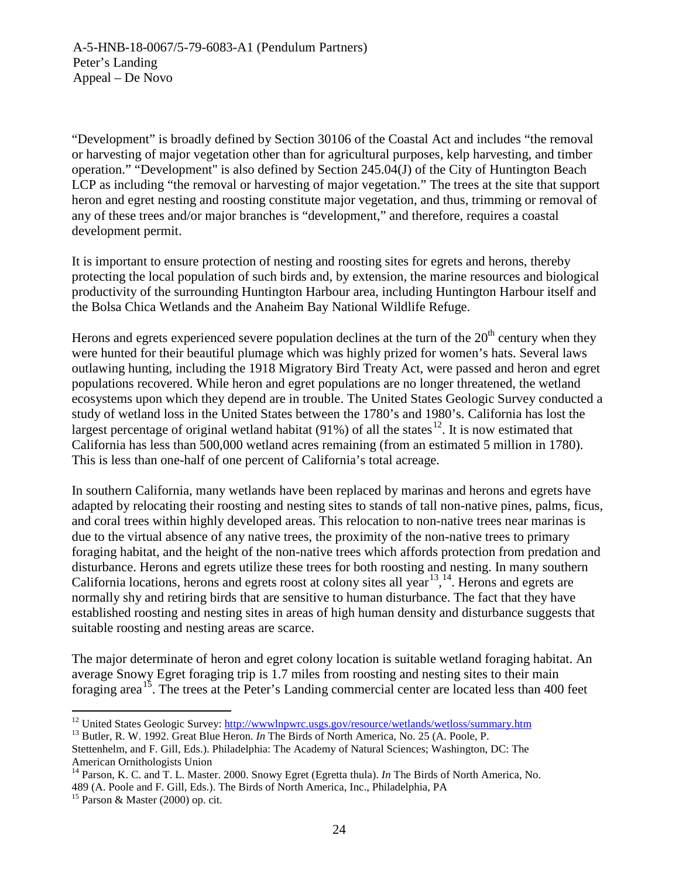"Development" is broadly defined by Section 30106 of the Coastal Act and includes "the removal or harvesting of major vegetation other than for agricultural purposes, kelp harvesting, and timber operation." "Development" is also defined by Section 245.04(J) of the City of Huntington Beach LCP as including "the removal or harvesting of major vegetation." The trees at the site that support heron and egret nesting and roosting constitute major vegetation, and thus, trimming or removal of any of these trees and/or major branches is "development," and therefore, requires a coastal development permit.

It is important to ensure protection of nesting and roosting sites for egrets and herons, thereby protecting the local population of such birds and, by extension, the marine resources and biological productivity of the surrounding Huntington Harbour area, including Huntington Harbour itself and the Bolsa Chica Wetlands and the Anaheim Bay National Wildlife Refuge.

Herons and egrets experienced severe population declines at the turn of the  $20<sup>th</sup>$  century when they were hunted for their beautiful plumage which was highly prized for women's hats. Several laws outlawing hunting, including the 1918 Migratory Bird Treaty Act, were passed and heron and egret populations recovered. While heron and egret populations are no longer threatened, the wetland ecosystems upon which they depend are in trouble. The United States Geologic Survey conducted a study of wetland loss in the United States between the 1780's and 1980's. California has lost the largest percentage of original wetland habitat (91%) of all the states  $^{12}$ . It is now estimated that California has less than 500,000 wetland acres remaining (from an estimated 5 million in 1780). This is less than one-half of one percent of California's total acreage.

In southern California, many wetlands have been replaced by marinas and herons and egrets have adapted by relocating their roosting and nesting sites to stands of tall non-native pines, palms, ficus, and coral trees within highly developed areas. This relocation to non-native trees near marinas is due to the virtual absence of any native trees, the proximity of the non-native trees to primary foraging habitat, and the height of the non-native trees which affords protection from predation and disturbance. Herons and egrets utilize these trees for both roosting and nesting. In many southern California locations, herons and egrets roost at colony sites all year<sup>[13,](#page-23-1) [14](#page-23-2)</sup>. Herons and egrets are normally shy and retiring birds that are sensitive to human disturbance. The fact that they have established roosting and nesting sites in areas of high human density and disturbance suggests that suitable roosting and nesting areas are scarce.

The major determinate of heron and egret colony location is suitable wetland foraging habitat. An average Snowy Egret foraging trip is 1.7 miles from roosting and nesting sites to their main foraging area<sup>[15](#page-23-3)</sup>. The trees at the Peter's Landing commercial center are located less than 400 feet

<span id="page-23-0"></span><sup>&</sup>lt;sup>12</sup> United States Geologic Survey: <u>http://wwwlnpwrc.usgs.gov/resource/wetlands/wetloss/summary.htm</u> <sup>13</sup> Butler, R. W. 1992. Great Blue Heron. *In* The Birds of North America, No. 25 (A. Poole, P.

<span id="page-23-1"></span>

Stettenhelm, and F. Gill, Eds.). Philadelphia: The Academy of Natural Sciences; Washington, DC: The American Ornithologists Union

<span id="page-23-2"></span><sup>14</sup> Parson, K. C. and T. L. Master. 2000. Snowy Egret (Egretta thula). *In* The Birds of North America, No. 489 (A. Poole and F. Gill, Eds.). The Birds of North America, Inc., Philadelphia, PA

<span id="page-23-3"></span> $15$  Parson & Master (2000) op. cit.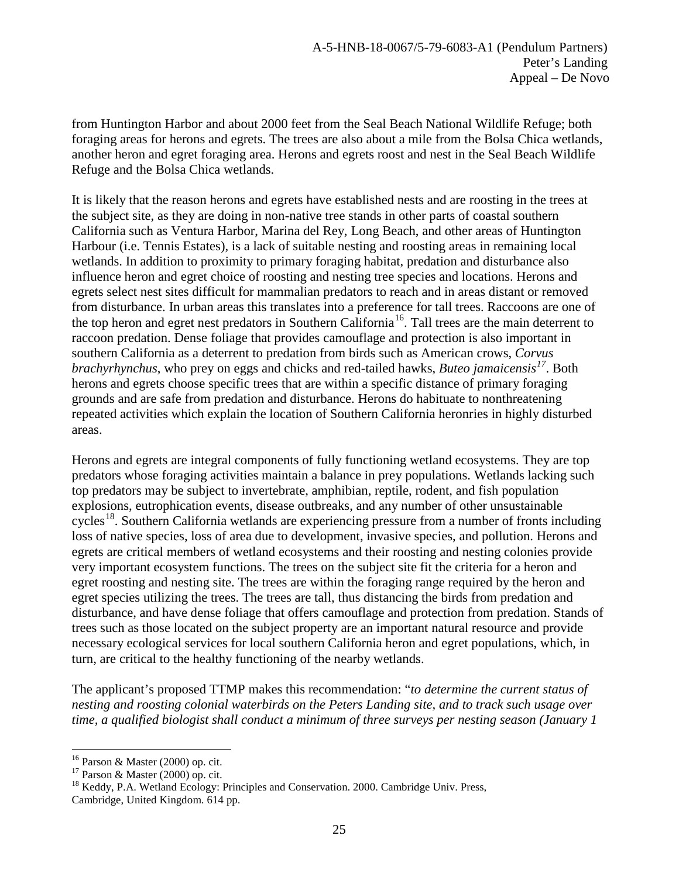from Huntington Harbor and about 2000 feet from the Seal Beach National Wildlife Refuge; both foraging areas for herons and egrets. The trees are also about a mile from the Bolsa Chica wetlands, another heron and egret foraging area. Herons and egrets roost and nest in the Seal Beach Wildlife Refuge and the Bolsa Chica wetlands.

It is likely that the reason herons and egrets have established nests and are roosting in the trees at the subject site, as they are doing in non-native tree stands in other parts of coastal southern California such as Ventura Harbor, Marina del Rey, Long Beach, and other areas of Huntington Harbour (i.e. Tennis Estates), is a lack of suitable nesting and roosting areas in remaining local wetlands. In addition to proximity to primary foraging habitat, predation and disturbance also influence heron and egret choice of roosting and nesting tree species and locations. Herons and egrets select nest sites difficult for mammalian predators to reach and in areas distant or removed from disturbance. In urban areas this translates into a preference for tall trees. Raccoons are one of the top heron and egret nest predators in Southern California<sup>[16](#page-24-0)</sup>. Tall trees are the main deterrent to raccoon predation. Dense foliage that provides camouflage and protection is also important in southern California as a deterrent to predation from birds such as American crows, *Corvus brachyrhynchus*, who prey on eggs and chicks and red-tailed hawks, *Buteo jamaicensis[17](#page-24-1)*. Both herons and egrets choose specific trees that are within a specific distance of primary foraging grounds and are safe from predation and disturbance. Herons do habituate to nonthreatening repeated activities which explain the location of Southern California heronries in highly disturbed areas.

Herons and egrets are integral components of fully functioning wetland ecosystems. They are top predators whose foraging activities maintain a balance in prey populations. Wetlands lacking such top predators may be subject to invertebrate, amphibian, reptile, rodent, and fish population explosions, eutrophication events, disease outbreaks, and any number of other unsustainable cycles<sup>[18](#page-24-2)</sup>. Southern California wetlands are experiencing pressure from a number of fronts including loss of native species, loss of area due to development, invasive species, and pollution. Herons and egrets are critical members of wetland ecosystems and their roosting and nesting colonies provide very important ecosystem functions. The trees on the subject site fit the criteria for a heron and egret roosting and nesting site. The trees are within the foraging range required by the heron and egret species utilizing the trees. The trees are tall, thus distancing the birds from predation and disturbance, and have dense foliage that offers camouflage and protection from predation. Stands of trees such as those located on the subject property are an important natural resource and provide necessary ecological services for local southern California heron and egret populations, which, in turn, are critical to the healthy functioning of the nearby wetlands.

The applicant's proposed TTMP makes this recommendation: "*to determine the current status of nesting and roosting colonial waterbirds on the Peters Landing site, and to track such usage over time, a qualified biologist shall conduct a minimum of three surveys per nesting season (January 1* 

<span id="page-24-0"></span>

<span id="page-24-1"></span>

<sup>&</sup>lt;sup>16</sup> Parson & Master (2000) op. cit.<br><sup>17</sup> Parson & Master (2000) op. cit.<br><sup>18</sup> Keddy, P.A. Wetland Ecology: Principles and Conservation. 2000. Cambridge Univ. Press,

<span id="page-24-2"></span>Cambridge, United Kingdom. 614 pp.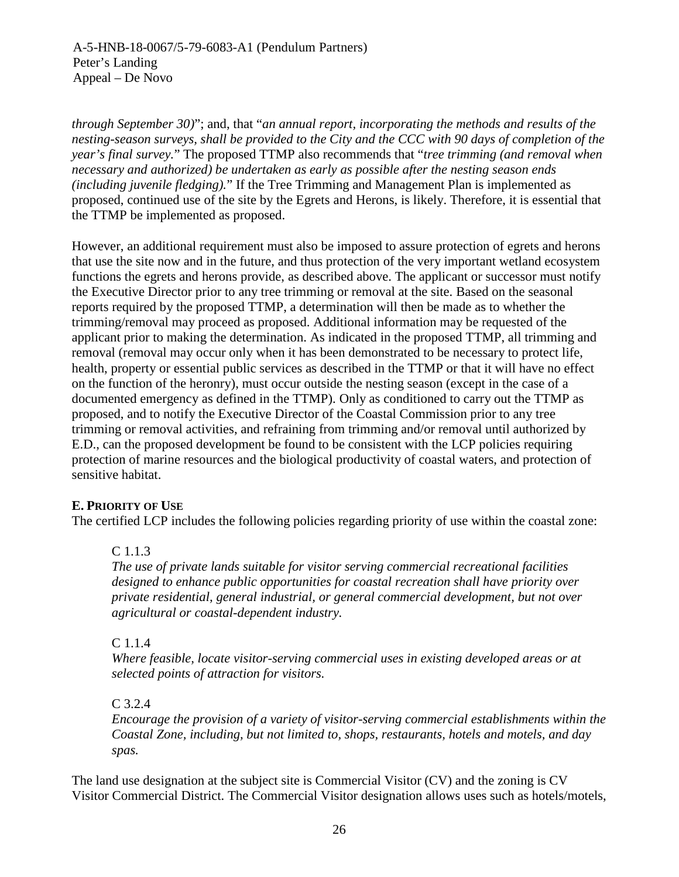*through September 30)*"; and, that "*an annual report, incorporating the methods and results of the nesting-season surveys, shall be provided to the City and the CCC with 90 days of completion of the year's final survey.*" The proposed TTMP also recommends that "*tree trimming (and removal when necessary and authorized) be undertaken as early as possible after the nesting season ends (including juvenile fledging).*" If the Tree Trimming and Management Plan is implemented as proposed, continued use of the site by the Egrets and Herons, is likely. Therefore, it is essential that the TTMP be implemented as proposed.

However, an additional requirement must also be imposed to assure protection of egrets and herons that use the site now and in the future, and thus protection of the very important wetland ecosystem functions the egrets and herons provide, as described above. The applicant or successor must notify the Executive Director prior to any tree trimming or removal at the site. Based on the seasonal reports required by the proposed TTMP, a determination will then be made as to whether the trimming/removal may proceed as proposed. Additional information may be requested of the applicant prior to making the determination. As indicated in the proposed TTMP, all trimming and removal (removal may occur only when it has been demonstrated to be necessary to protect life, health, property or essential public services as described in the TTMP or that it will have no effect on the function of the heronry), must occur outside the nesting season (except in the case of a documented emergency as defined in the TTMP). Only as conditioned to carry out the TTMP as proposed, and to notify the Executive Director of the Coastal Commission prior to any tree trimming or removal activities, and refraining from trimming and/or removal until authorized by E.D., can the proposed development be found to be consistent with the LCP policies requiring protection of marine resources and the biological productivity of coastal waters, and protection of sensitive habitat.

# <span id="page-25-0"></span>**E. PRIORITY OF USE**

The certified LCP includes the following policies regarding priority of use within the coastal zone:

# C 1.1.3

*The use of private lands suitable for visitor serving commercial recreational facilities designed to enhance public opportunities for coastal recreation shall have priority over private residential, general industrial, or general commercial development, but not over agricultural or coastal-dependent industry.*

# C 1.1.4

*Where feasible, locate visitor-serving commercial uses in existing developed areas or at selected points of attraction for visitors.*

# C 3.2.4

*Encourage the provision of a variety of visitor-serving commercial establishments within the Coastal Zone, including, but not limited to, shops, restaurants, hotels and motels, and day spas.*

The land use designation at the subject site is Commercial Visitor (CV) and the zoning is CV Visitor Commercial District. The Commercial Visitor designation allows uses such as hotels/motels,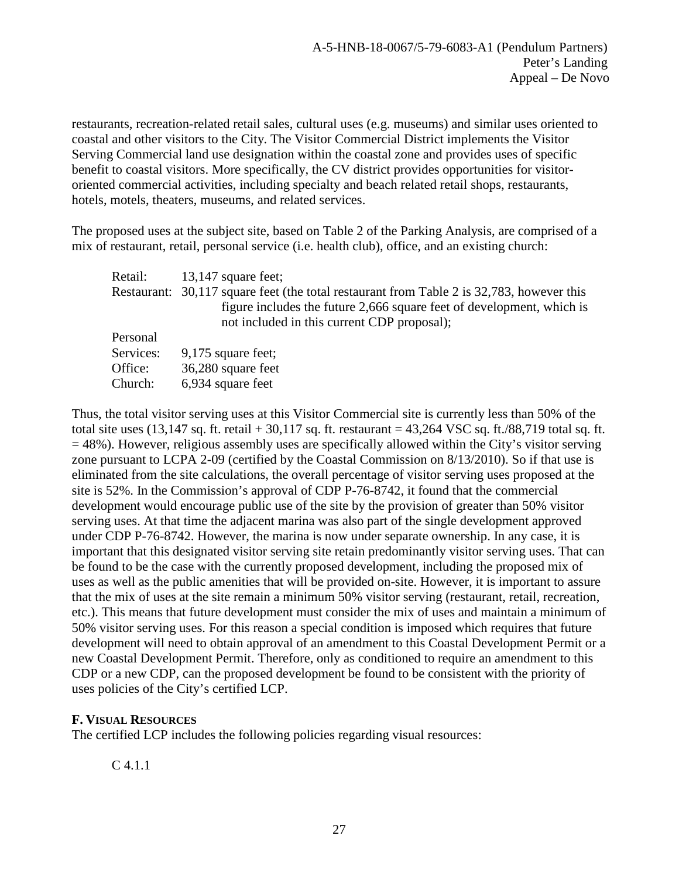restaurants, recreation-related retail sales, cultural uses (e.g. museums) and similar uses oriented to coastal and other visitors to the City. The Visitor Commercial District implements the Visitor Serving Commercial land use designation within the coastal zone and provides uses of specific benefit to coastal visitors. More specifically, the CV district provides opportunities for visitororiented commercial activities, including specialty and beach related retail shops, restaurants, hotels, motels, theaters, museums, and related services.

The proposed uses at the subject site, based on Table 2 of the Parking Analysis, are comprised of a mix of restaurant, retail, personal service (i.e. health club), office, and an existing church:

| Retail:   | 13,147 square feet;                                                                                                                                                                                               |
|-----------|-------------------------------------------------------------------------------------------------------------------------------------------------------------------------------------------------------------------|
|           | Restaurant: 30,117 square feet (the total restaurant from Table 2 is 32,783, however this<br>figure includes the future 2,666 square feet of development, which is<br>not included in this current CDP proposal); |
| Personal  |                                                                                                                                                                                                                   |
| Services: | $9,175$ square feet;                                                                                                                                                                                              |
| Office:   | 36,280 square feet                                                                                                                                                                                                |
| Church:   | 6,934 square feet                                                                                                                                                                                                 |

Thus, the total visitor serving uses at this Visitor Commercial site is currently less than 50% of the total site uses  $(13,147 \text{ sq. ft. retail} + 30,117 \text{ sq. ft. restaurant} = 43,264 \text{ VSC sq. ft.}/88,719 \text{ total sq. ft.}$  $= 48\%$ ). However, religious assembly uses are specifically allowed within the City's visitor serving zone pursuant to LCPA 2-09 (certified by the Coastal Commission on 8/13/2010). So if that use is eliminated from the site calculations, the overall percentage of visitor serving uses proposed at the site is 52%. In the Commission's approval of CDP P-76-8742, it found that the commercial development would encourage public use of the site by the provision of greater than 50% visitor serving uses. At that time the adjacent marina was also part of the single development approved under CDP P-76-8742. However, the marina is now under separate ownership. In any case, it is important that this designated visitor serving site retain predominantly visitor serving uses. That can be found to be the case with the currently proposed development, including the proposed mix of uses as well as the public amenities that will be provided on-site. However, it is important to assure that the mix of uses at the site remain a minimum 50% visitor serving (restaurant, retail, recreation, etc.). This means that future development must consider the mix of uses and maintain a minimum of 50% visitor serving uses. For this reason a special condition is imposed which requires that future development will need to obtain approval of an amendment to this Coastal Development Permit or a new Coastal Development Permit. Therefore, only as conditioned to require an amendment to this CDP or a new CDP, can the proposed development be found to be consistent with the priority of uses policies of the City's certified LCP.

# <span id="page-26-0"></span>**F. VISUAL RESOURCES**

The certified LCP includes the following policies regarding visual resources:

C 4.1.1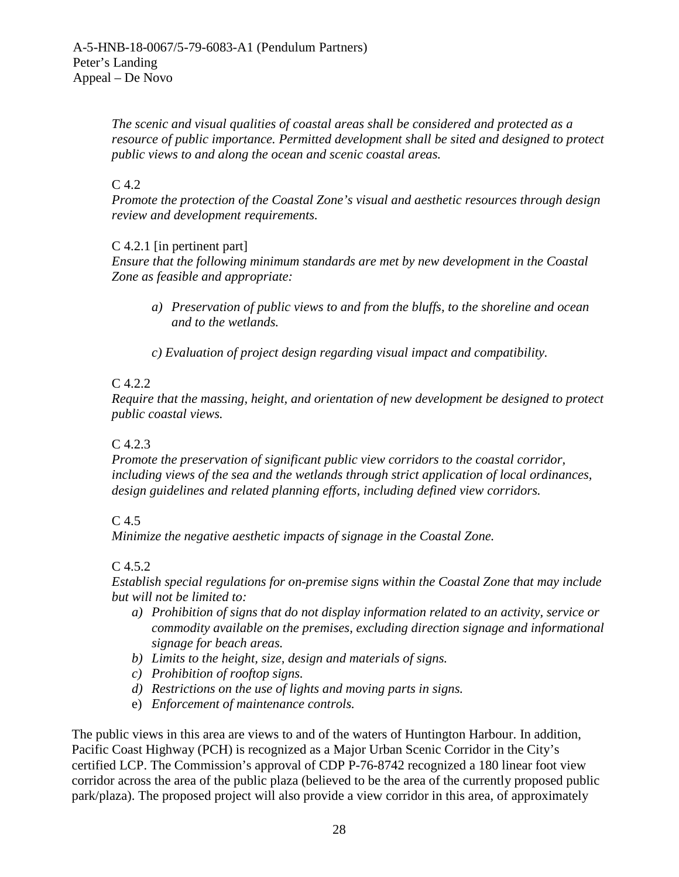*The scenic and visual qualities of coastal areas shall be considered and protected as a resource of public importance. Permitted development shall be sited and designed to protect public views to and along the ocean and scenic coastal areas.*

# $C<sub>4.2</sub>$

*Promote the protection of the Coastal Zone's visual and aesthetic resources through design review and development requirements.*

# C 4.2.1 [in pertinent part]

*Ensure that the following minimum standards are met by new development in the Coastal Zone as feasible and appropriate:*

- *a) Preservation of public views to and from the bluffs, to the shoreline and ocean and to the wetlands.*
- *c) Evaluation of project design regarding visual impact and compatibility.*

# C 4.2.2

*Require that the massing, height, and orientation of new development be designed to protect public coastal views.*

# C 4.2.3

*Promote the preservation of significant public view corridors to the coastal corridor, including views of the sea and the wetlands through strict application of local ordinances, design guidelines and related planning efforts, including defined view corridors.*

# $C<sub>4.5</sub>$

*Minimize the negative aesthetic impacts of signage in the Coastal Zone.*

# C 4.5.2

*Establish special regulations for on-premise signs within the Coastal Zone that may include but will not be limited to:*

- *a) Prohibition of signs that do not display information related to an activity, service or commodity available on the premises, excluding direction signage and informational signage for beach areas.*
- *b) Limits to the height, size, design and materials of signs.*
- *c) Prohibition of rooftop signs.*
- *d) Restrictions on the use of lights and moving parts in signs.*
- e) *Enforcement of maintenance controls.*

The public views in this area are views to and of the waters of Huntington Harbour. In addition, Pacific Coast Highway (PCH) is recognized as a Major Urban Scenic Corridor in the City's certified LCP. The Commission's approval of CDP P-76-8742 recognized a 180 linear foot view corridor across the area of the public plaza (believed to be the area of the currently proposed public park/plaza). The proposed project will also provide a view corridor in this area, of approximately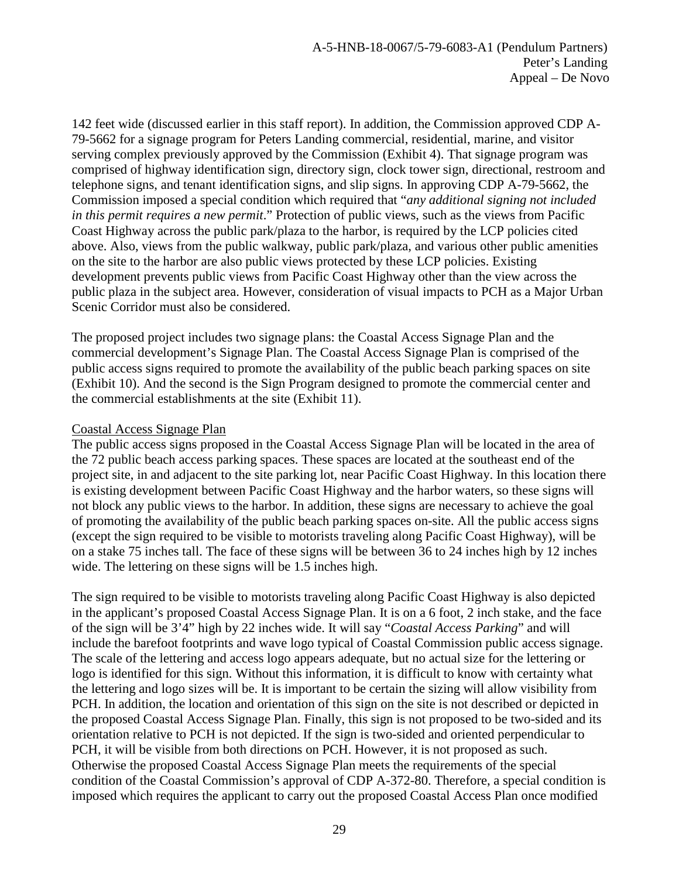142 feet wide (discussed earlier in this staff report). In addition, the Commission approved CDP A-79-5662 for a signage program for Peters Landing commercial, residential, marine, and visitor serving complex previously approved by the Commission (Exhibit 4). That signage program was comprised of highway identification sign, directory sign, clock tower sign, directional, restroom and telephone signs, and tenant identification signs, and slip signs. In approving CDP A-79-5662, the Commission imposed a special condition which required that "*any additional signing not included in this permit requires a new permit*." Protection of public views, such as the views from Pacific Coast Highway across the public park/plaza to the harbor, is required by the LCP policies cited above. Also, views from the public walkway, public park/plaza, and various other public amenities on the site to the harbor are also public views protected by these LCP policies. Existing development prevents public views from Pacific Coast Highway other than the view across the public plaza in the subject area. However, consideration of visual impacts to PCH as a Major Urban Scenic Corridor must also be considered.

The proposed project includes two signage plans: the Coastal Access Signage Plan and the commercial development's Signage Plan. The Coastal Access Signage Plan is comprised of the public access signs required to promote the availability of the public beach parking spaces on site (Exhibit 10). And the second is the Sign Program designed to promote the commercial center and the commercial establishments at the site (Exhibit 11).

## Coastal Access Signage Plan

The public access signs proposed in the Coastal Access Signage Plan will be located in the area of the 72 public beach access parking spaces. These spaces are located at the southeast end of the project site, in and adjacent to the site parking lot, near Pacific Coast Highway. In this location there is existing development between Pacific Coast Highway and the harbor waters, so these signs will not block any public views to the harbor. In addition, these signs are necessary to achieve the goal of promoting the availability of the public beach parking spaces on-site. All the public access signs (except the sign required to be visible to motorists traveling along Pacific Coast Highway), will be on a stake 75 inches tall. The face of these signs will be between 36 to 24 inches high by 12 inches wide. The lettering on these signs will be 1.5 inches high.

The sign required to be visible to motorists traveling along Pacific Coast Highway is also depicted in the applicant's proposed Coastal Access Signage Plan. It is on a 6 foot, 2 inch stake, and the face of the sign will be 3'4" high by 22 inches wide. It will say "*Coastal Access Parking*" and will include the barefoot footprints and wave logo typical of Coastal Commission public access signage. The scale of the lettering and access logo appears adequate, but no actual size for the lettering or logo is identified for this sign. Without this information, it is difficult to know with certainty what the lettering and logo sizes will be. It is important to be certain the sizing will allow visibility from PCH. In addition, the location and orientation of this sign on the site is not described or depicted in the proposed Coastal Access Signage Plan. Finally, this sign is not proposed to be two-sided and its orientation relative to PCH is not depicted. If the sign is two-sided and oriented perpendicular to PCH, it will be visible from both directions on PCH. However, it is not proposed as such. Otherwise the proposed Coastal Access Signage Plan meets the requirements of the special condition of the Coastal Commission's approval of CDP A-372-80. Therefore, a special condition is imposed which requires the applicant to carry out the proposed Coastal Access Plan once modified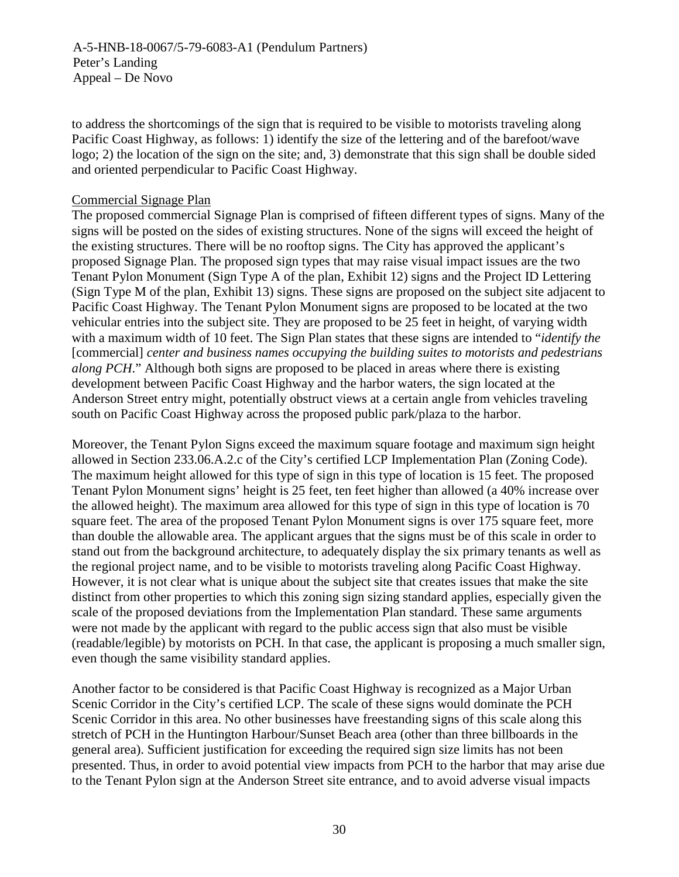A-5-HNB-18-0067/5-79-6083-A1 (Pendulum Partners) Peter's Landing Appeal – De Novo

to address the shortcomings of the sign that is required to be visible to motorists traveling along Pacific Coast Highway, as follows: 1) identify the size of the lettering and of the barefoot/wave logo; 2) the location of the sign on the site; and, 3) demonstrate that this sign shall be double sided and oriented perpendicular to Pacific Coast Highway.

#### Commercial Signage Plan

The proposed commercial Signage Plan is comprised of fifteen different types of signs. Many of the signs will be posted on the sides of existing structures. None of the signs will exceed the height of the existing structures. There will be no rooftop signs. The City has approved the applicant's proposed Signage Plan. The proposed sign types that may raise visual impact issues are the two Tenant Pylon Monument (Sign Type A of the plan, Exhibit 12) signs and the Project ID Lettering (Sign Type M of the plan, Exhibit 13) signs. These signs are proposed on the subject site adjacent to Pacific Coast Highway. The Tenant Pylon Monument signs are proposed to be located at the two vehicular entries into the subject site. They are proposed to be 25 feet in height, of varying width with a maximum width of 10 feet. The Sign Plan states that these signs are intended to "*identify the* [commercial] *center and business names occupying the building suites to motorists and pedestrians along PCH*." Although both signs are proposed to be placed in areas where there is existing development between Pacific Coast Highway and the harbor waters, the sign located at the Anderson Street entry might, potentially obstruct views at a certain angle from vehicles traveling south on Pacific Coast Highway across the proposed public park/plaza to the harbor.

Moreover, the Tenant Pylon Signs exceed the maximum square footage and maximum sign height allowed in Section 233.06.A.2.c of the City's certified LCP Implementation Plan (Zoning Code). The maximum height allowed for this type of sign in this type of location is 15 feet. The proposed Tenant Pylon Monument signs' height is 25 feet, ten feet higher than allowed (a 40% increase over the allowed height). The maximum area allowed for this type of sign in this type of location is 70 square feet. The area of the proposed Tenant Pylon Monument signs is over 175 square feet, more than double the allowable area. The applicant argues that the signs must be of this scale in order to stand out from the background architecture, to adequately display the six primary tenants as well as the regional project name, and to be visible to motorists traveling along Pacific Coast Highway. However, it is not clear what is unique about the subject site that creates issues that make the site distinct from other properties to which this zoning sign sizing standard applies, especially given the scale of the proposed deviations from the Implementation Plan standard. These same arguments were not made by the applicant with regard to the public access sign that also must be visible (readable/legible) by motorists on PCH. In that case, the applicant is proposing a much smaller sign, even though the same visibility standard applies.

Another factor to be considered is that Pacific Coast Highway is recognized as a Major Urban Scenic Corridor in the City's certified LCP. The scale of these signs would dominate the PCH Scenic Corridor in this area. No other businesses have freestanding signs of this scale along this stretch of PCH in the Huntington Harbour/Sunset Beach area (other than three billboards in the general area). Sufficient justification for exceeding the required sign size limits has not been presented. Thus, in order to avoid potential view impacts from PCH to the harbor that may arise due to the Tenant Pylon sign at the Anderson Street site entrance, and to avoid adverse visual impacts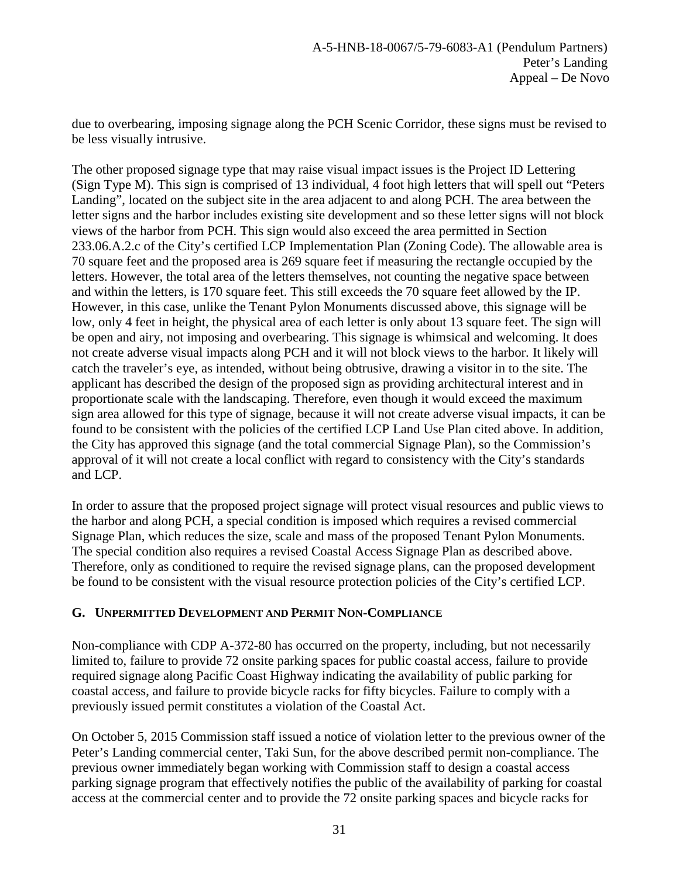due to overbearing, imposing signage along the PCH Scenic Corridor, these signs must be revised to be less visually intrusive.

The other proposed signage type that may raise visual impact issues is the Project ID Lettering (Sign Type M). This sign is comprised of 13 individual, 4 foot high letters that will spell out "Peters Landing", located on the subject site in the area adjacent to and along PCH. The area between the letter signs and the harbor includes existing site development and so these letter signs will not block views of the harbor from PCH. This sign would also exceed the area permitted in Section 233.06.A.2.c of the City's certified LCP Implementation Plan (Zoning Code). The allowable area is 70 square feet and the proposed area is 269 square feet if measuring the rectangle occupied by the letters. However, the total area of the letters themselves, not counting the negative space between and within the letters, is 170 square feet. This still exceeds the 70 square feet allowed by the IP. However, in this case, unlike the Tenant Pylon Monuments discussed above, this signage will be low, only 4 feet in height, the physical area of each letter is only about 13 square feet. The sign will be open and airy, not imposing and overbearing. This signage is whimsical and welcoming. It does not create adverse visual impacts along PCH and it will not block views to the harbor. It likely will catch the traveler's eye, as intended, without being obtrusive, drawing a visitor in to the site. The applicant has described the design of the proposed sign as providing architectural interest and in proportionate scale with the landscaping. Therefore, even though it would exceed the maximum sign area allowed for this type of signage, because it will not create adverse visual impacts, it can be found to be consistent with the policies of the certified LCP Land Use Plan cited above. In addition, the City has approved this signage (and the total commercial Signage Plan), so the Commission's approval of it will not create a local conflict with regard to consistency with the City's standards and LCP.

In order to assure that the proposed project signage will protect visual resources and public views to the harbor and along PCH, a special condition is imposed which requires a revised commercial Signage Plan, which reduces the size, scale and mass of the proposed Tenant Pylon Monuments. The special condition also requires a revised Coastal Access Signage Plan as described above. Therefore, only as conditioned to require the revised signage plans, can the proposed development be found to be consistent with the visual resource protection policies of the City's certified LCP.

# <span id="page-30-0"></span>**G. UNPERMITTED DEVELOPMENT AND PERMIT NON-COMPLIANCE**

Non-compliance with CDP A-372-80 has occurred on the property, including, but not necessarily limited to, failure to provide 72 onsite parking spaces for public coastal access, failure to provide required signage along Pacific Coast Highway indicating the availability of public parking for coastal access, and failure to provide bicycle racks for fifty bicycles. Failure to comply with a previously issued permit constitutes a violation of the Coastal Act.

On October 5, 2015 Commission staff issued a notice of violation letter to the previous owner of the Peter's Landing commercial center, Taki Sun, for the above described permit non-compliance. The previous owner immediately began working with Commission staff to design a coastal access parking signage program that effectively notifies the public of the availability of parking for coastal access at the commercial center and to provide the 72 onsite parking spaces and bicycle racks for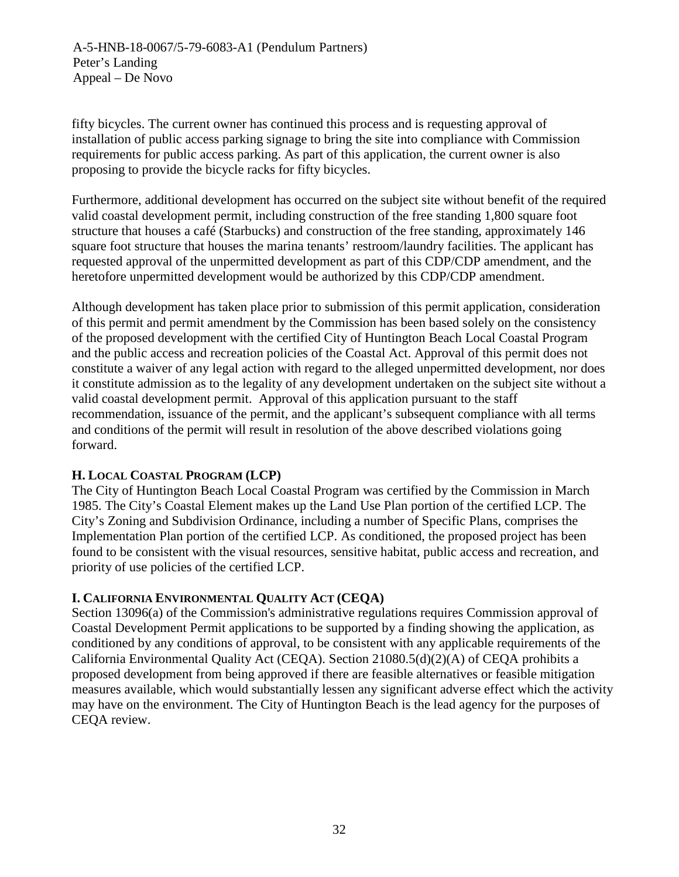A-5-HNB-18-0067/5-79-6083-A1 (Pendulum Partners) Peter's Landing Appeal – De Novo

fifty bicycles. The current owner has continued this process and is requesting approval of installation of public access parking signage to bring the site into compliance with Commission requirements for public access parking. As part of this application, the current owner is also proposing to provide the bicycle racks for fifty bicycles.

Furthermore, additional development has occurred on the subject site without benefit of the required valid coastal development permit, including construction of the free standing 1,800 square foot structure that houses a café (Starbucks) and construction of the free standing, approximately 146 square foot structure that houses the marina tenants' restroom/laundry facilities. The applicant has requested approval of the unpermitted development as part of this CDP/CDP amendment, and the heretofore unpermitted development would be authorized by this CDP/CDP amendment.

Although development has taken place prior to submission of this permit application, consideration of this permit and permit amendment by the Commission has been based solely on the consistency of the proposed development with the certified City of Huntington Beach Local Coastal Program and the public access and recreation policies of the Coastal Act. Approval of this permit does not constitute a waiver of any legal action with regard to the alleged unpermitted development, nor does it constitute admission as to the legality of any development undertaken on the subject site without a valid coastal development permit. Approval of this application pursuant to the staff recommendation, issuance of the permit, and the applicant's subsequent compliance with all terms and conditions of the permit will result in resolution of the above described violations going forward.

# <span id="page-31-0"></span>**H. LOCAL COASTAL PROGRAM (LCP)**

The City of Huntington Beach Local Coastal Program was certified by the Commission in March 1985. The City's Coastal Element makes up the Land Use Plan portion of the certified LCP. The City's Zoning and Subdivision Ordinance, including a number of Specific Plans, comprises the Implementation Plan portion of the certified LCP. As conditioned, the proposed project has been found to be consistent with the visual resources, sensitive habitat, public access and recreation, and priority of use policies of the certified LCP.

# <span id="page-31-1"></span>**I. CALIFORNIA ENVIRONMENTAL QUALITY ACT (CEQA)**

Section 13096(a) of the Commission's administrative regulations requires Commission approval of Coastal Development Permit applications to be supported by a finding showing the application, as conditioned by any conditions of approval, to be consistent with any applicable requirements of the California Environmental Quality Act (CEQA). Section 21080.5(d)(2)(A) of CEQA prohibits a proposed development from being approved if there are feasible alternatives or feasible mitigation measures available, which would substantially lessen any significant adverse effect which the activity may have on the environment. The City of Huntington Beach is the lead agency for the purposes of CEQA review.